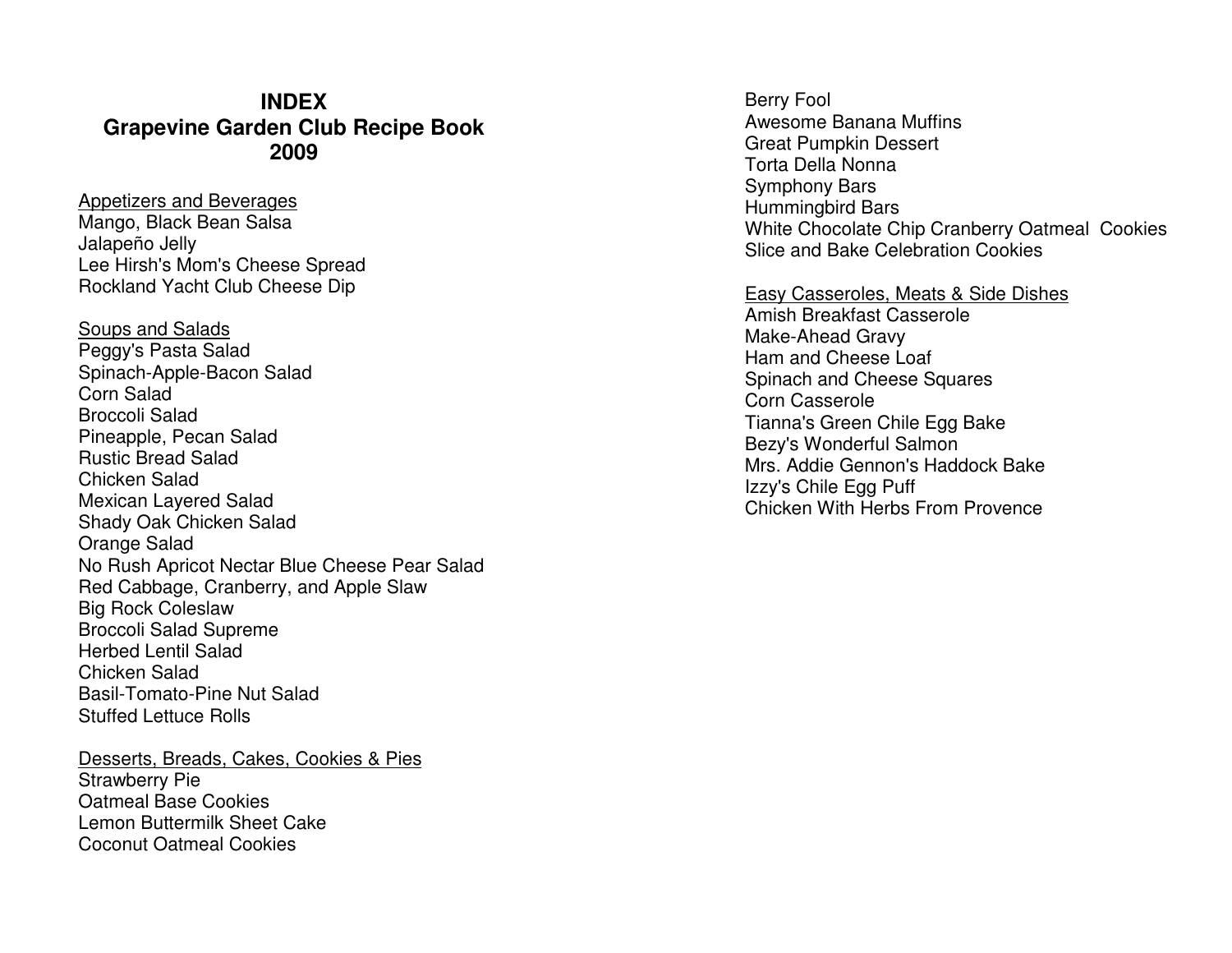### **INDEX Grapevine Garden Club Recipe Book 2009**

Appetizers and Beverages Mango, Black Bean Salsa Jalapeño Jelly Lee Hirsh's Mom's Cheese Spread Rockland Yacht Club Cheese Dip

Soups and Salads Peggy's Pasta Salad Spinach-Apple-Bacon Salad Corn Salad Broccoli Salad Pineapple, Pecan Salad Rustic Bread Salad Chicken Salad Mexican Layered Salad Shady Oak Chicken Salad Orange Salad No Rush Apricot Nectar Blue Cheese Pear Salad Red Cabbage, Cranberry, and Apple Slaw Big Rock Coleslaw Broccoli Salad Supreme Herbed Lentil Salad Chicken Salad Basil-Tomato-Pine Nut Salad Stuffed Lettuce Rolls

Desserts, Breads, Cakes, Cookies & PiesStrawberry Pie Oatmeal Base Cookies Lemon Buttermilk Sheet Cake Coconut Oatmeal Cookies

Berry Fool Awesome Banana Muffins Great Pumpkin Dessert Torta Della Nonna Symphony Bars Hummingbird Bars White Chocolate Chip Cranberry Oatmeal Cookies Slice and Bake Celebration Cookies

Easy Casseroles, Meats & Side DishesAmish Breakfast Casserole Make-Ahead Gravy Ham and Cheese Loaf Spinach and Cheese Squares Corn Casserole Tianna's Green Chile Egg Bake Bezy's Wonderful Salmon Mrs. Addie Gennon's Haddock Bake Izzy's Chile Egg Puff Chicken With Herbs From Provence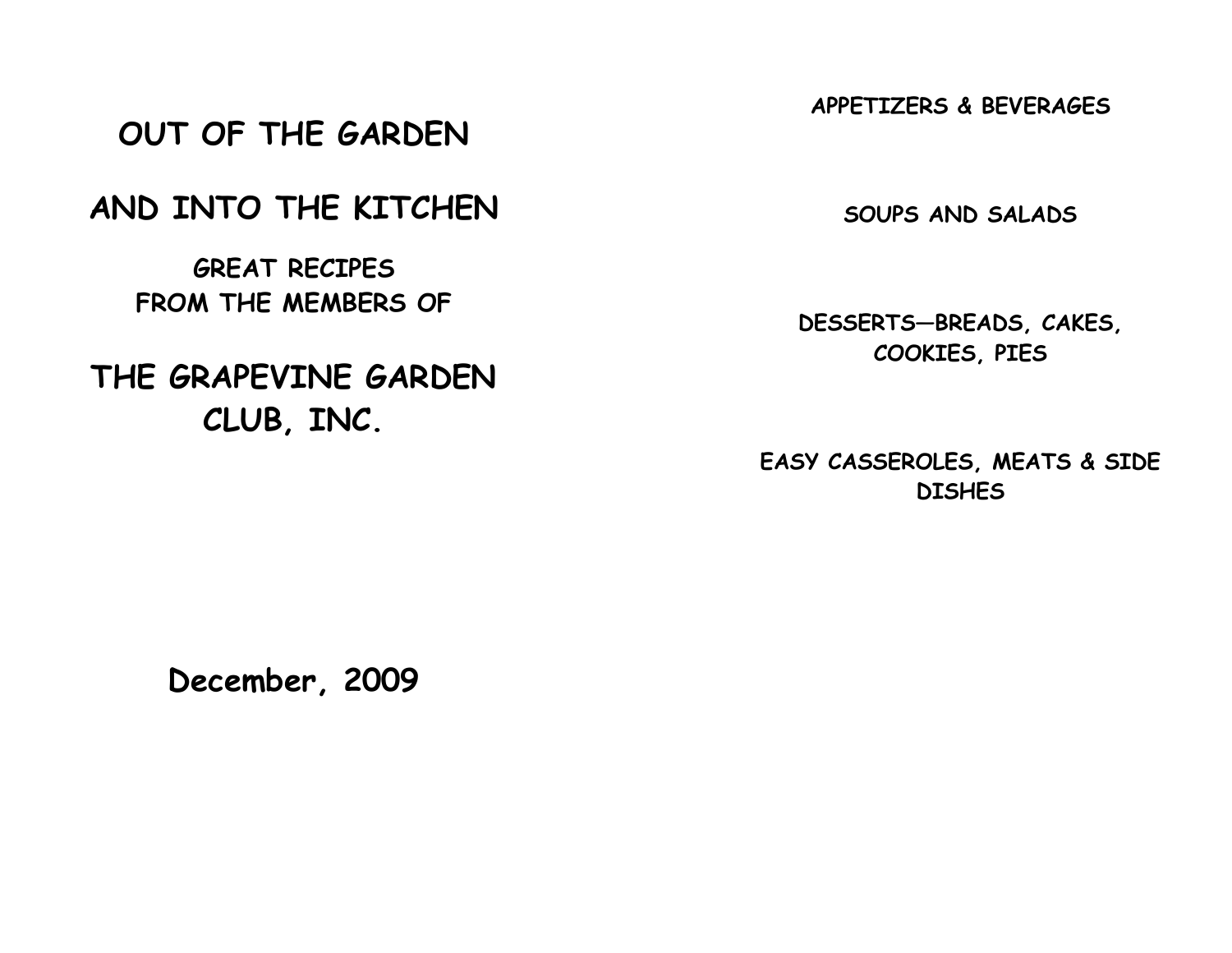APPETIZERS & BEVERAGES

# OUT OF THE GARDEN

# AND INTO THE KITCHEN

GREAT RECIPES FROM THE MEMBERS OF

# THE GRAPEVINE GARDEN CLUB, INC.

SOUPS AND SALADS

DESSERTS—BREADS, CAKES, COOKIES, PIES

EASY CASSEROLES, MEATS & SIDE **DISHES** 

December, 2009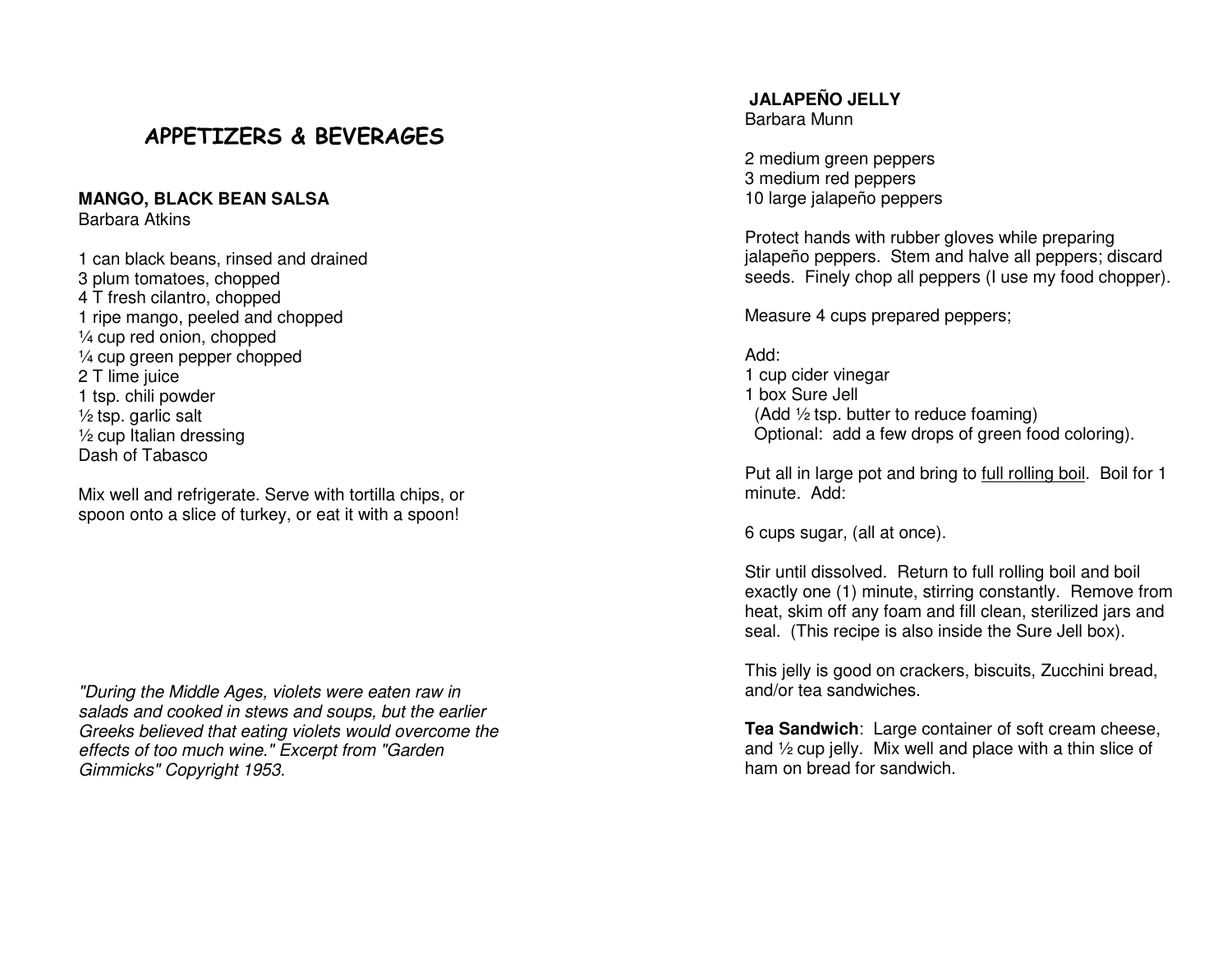### APPETIZERS & BEVERAGES

#### **MANGO, BLACK BEAN SALSA**

Barbara Atkins

1 can black beans, rinsed and drained 3 plum tomatoes, chopped 4 T fresh cilantro, chopped 1 ripe mango, peeled and chopped ¼ cup red onion, chopped ¼ cup green pepper chopped 2 T lime juice 1 tsp. chili powder  $\frac{1}{2}$  tsp. garlic salt ½ cup Italian dressing Dash of Tabasco

Mix well and refrigerate. Serve with tortilla chips, or spoon onto a slice of turkey, or eat it with a spoon!

"During the Middle Ages, violets were eaten raw in salads and cooked in stews and soups, but the earlier Greeks believed that eating violets would overcome the effects of too much wine." Excerpt from "Garden Gimmicks" Copyright 1953.

**JALAPEÑO JELLY** Barbara Munn

2 medium green peppers 3 medium red peppers 10 large jalapeño peppers

Protect hands with rubber gloves while preparing jalapeño peppers. Stem and halve all peppers; discard seeds. Finely chop all peppers (I use my food chopper).

Measure 4 cups prepared peppers;

#### Add:

 1 cup cider vinegar 1 box Sure Jell (Add ½ tsp. butter to reduce foaming) Optional: add a few drops of green food coloring).

Put all in large pot and bring to full rolling boil. Boil for 1 minute. Add:

6 cups sugar, (all at once).

Stir until dissolved. Return to full rolling boil and boil exactly one (1) minute, stirring constantly. Remove from heat, skim off any foam and fill clean, sterilized jars and seal. (This recipe is also inside the Sure Jell box).

This jelly is good on crackers, biscuits, Zucchini bread, and/or tea sandwiches.

**Tea Sandwich**: Large container of soft cream cheese, and ½ cup jelly. Mix well and place with a thin slice of ham on bread for sandwich.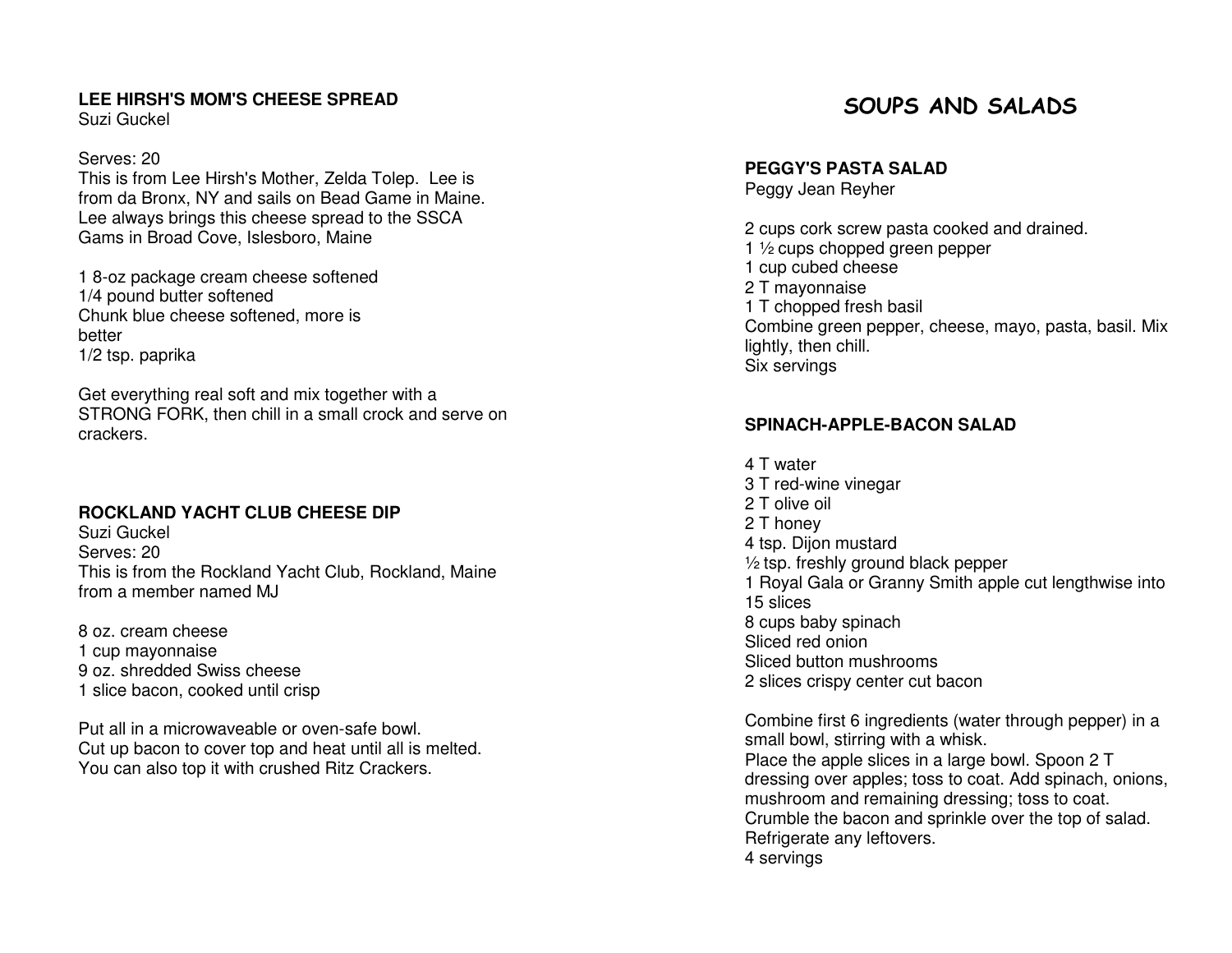#### **LEE HIRSH'S MOM'S CHEESE SPREAD**

Suzi Guckel

#### Serves: 20

 This is from Lee Hirsh's Mother, Zelda Tolep. Lee is from da Bronx, NY and sails on Bead Game in Maine. Lee always brings this cheese spread to the SSCA Gams in Broad Cove, Islesboro, Maine

1 8-oz package cream cheese softened 1/4 pound butter softened Chunk blue cheese softened, more is better 1/2 tsp. paprika

Get everything real soft and mix together with a STRONG FORK, then chill in a small crock and serve on crackers.

#### **ROCKLAND YACHT CLUB CHEESE DIP**

Suzi Guckel Serves: 20 This is from the Rockland Yacht Club, Rockland, Maine from a member named MJ

8 oz. cream cheese 1 cup mayonnaise 9 oz. shredded Swiss cheese 1 slice bacon, cooked until crisp

Put all in a microwaveable or oven-safe bowl. Cut up bacon to cover top and heat until all is melted. You can also top it with crushed Ritz Crackers.

### SOUPS AND SALADS

**PEGGY'S PASTA SALAD** 

Peggy Jean Reyher

2 cups cork screw pasta cooked and drained. 1 ½ cups chopped green pepper 1 cup cubed cheese 2 T mayonnaise 1 T chopped fresh basil Combine green pepper, cheese, mayo, pasta, basil. Mix lightly, then chill. Six servings

#### **SPINACH-APPLE-BACON SALAD**

4 T water 3 T red-wine vinegar 2 T olive oil 2 T honey 4 tsp. Dijon mustard ½ tsp. freshly ground black pepper 1 Royal Gala or Granny Smith apple cut lengthwise into 15 slices 8 cups baby spinach Sliced red onion Sliced button mushrooms 2 slices crispy center cut bacon

Combine first 6 ingredients (water through pepper) in a small bowl, stirring with a whisk. Place the apple slices in a large bowl. Spoon 2 T dressing over apples; toss to coat. Add spinach, onions, mushroom and remaining dressing; toss to coat. Crumble the bacon and sprinkle over the top of salad. Refrigerate any leftovers. 4 servings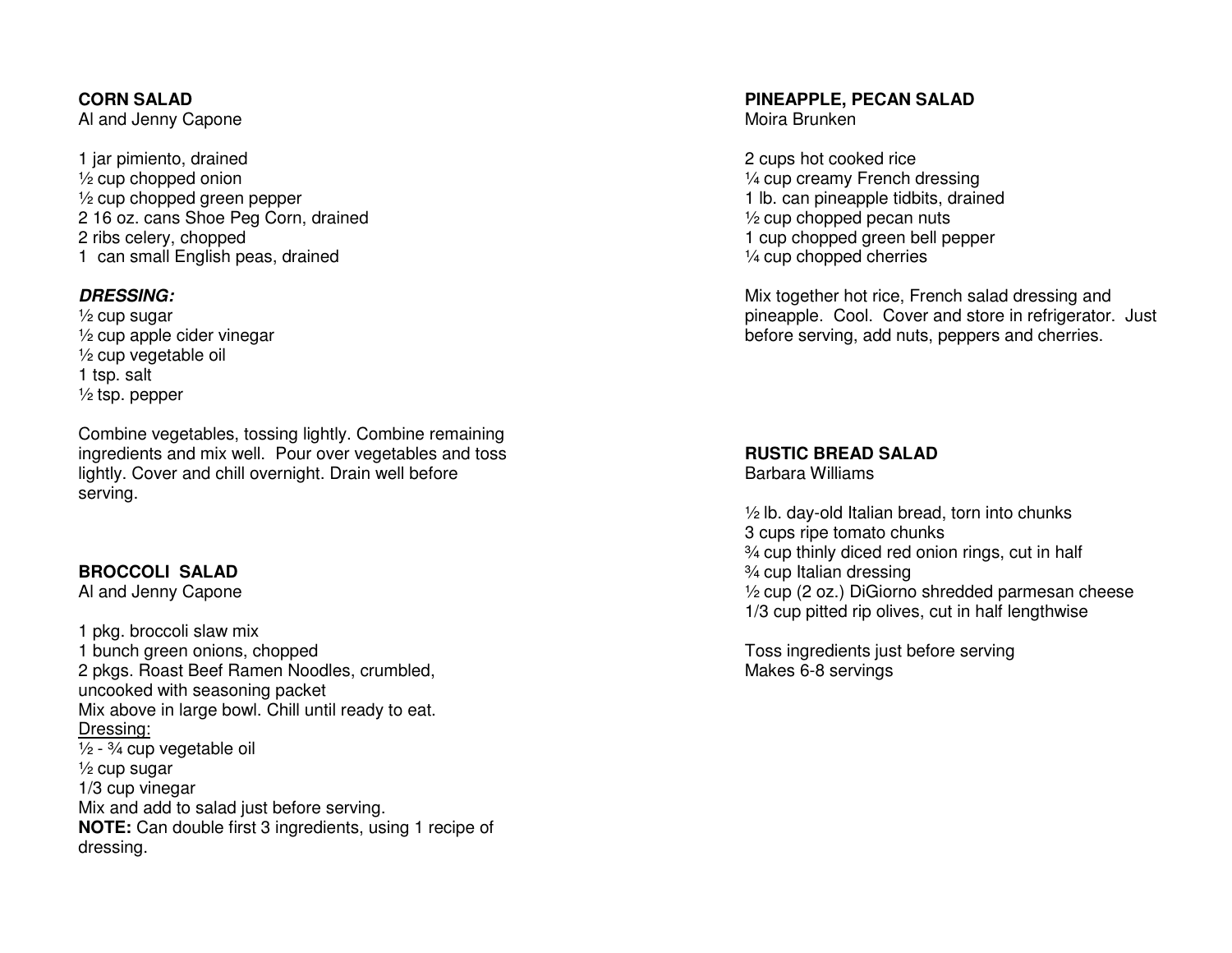**CORN SALAD** Al and Jenny Capone

1 jar pimiento, drained  $\frac{1}{2}$  cup chopped onion ½ cup chopped green pepper 2 16 oz. cans Shoe Peg Corn, drained 2 ribs celery, chopped 1 can small English peas, drained

#### **DRESSING:**

 ½ cup sugar ½ cup apple cider vinegar ½ cup vegetable oil 1 tsp. salt  $\frac{1}{2}$  tsp. pepper

Combine vegetables, tossing lightly. Combine remaining ingredients and mix well. Pour over vegetables and toss lightly. Cover and chill overnight. Drain well before serving.

#### **BROCCOLI SALAD**

Al and Jenny Capone

1 pkg. broccoli slaw mix 1 bunch green onions, chopped 2 pkgs. Roast Beef Ramen Noodles, crumbled, uncooked with seasoning packet Mix above in large bowl. Chill until ready to eat. Dressing: $\frac{1}{2}$  -  $\frac{3}{4}$  cup vegetable oil ½ cup sugar 1/3 cup vinegar Mix and add to salad just before serving. **NOTE:** Can double first 3 ingredients, using 1 recipe of dressing.

# **PINEAPPLE, PECAN SALAD**

Moira Brunken

2 cups hot cooked rice ¼ cup creamy French dressing 1 lb. can pineapple tidbits, drained  $\frac{1}{2}$  cup chopped pecan nuts 1 cup chopped green bell pepper ¼ cup chopped cherries

Mix together hot rice, French salad dressing and pineapple. Cool. Cover and store in refrigerator. Just before serving, add nuts, peppers and cherries.

**RUSTIC BREAD SALAD** Barbara Williams

 $\frac{1}{2}$  lb. day-old Italian bread, torn into chunks 3 cups ripe tomato chunks ¾ cup thinly diced red onion rings, cut in half ¾ cup Italian dressing ½ cup (2 oz.) DiGiorno shredded parmesan cheese 1/3 cup pitted rip olives, cut in half lengthwise

Toss ingredients just before serving Makes 6-8 servings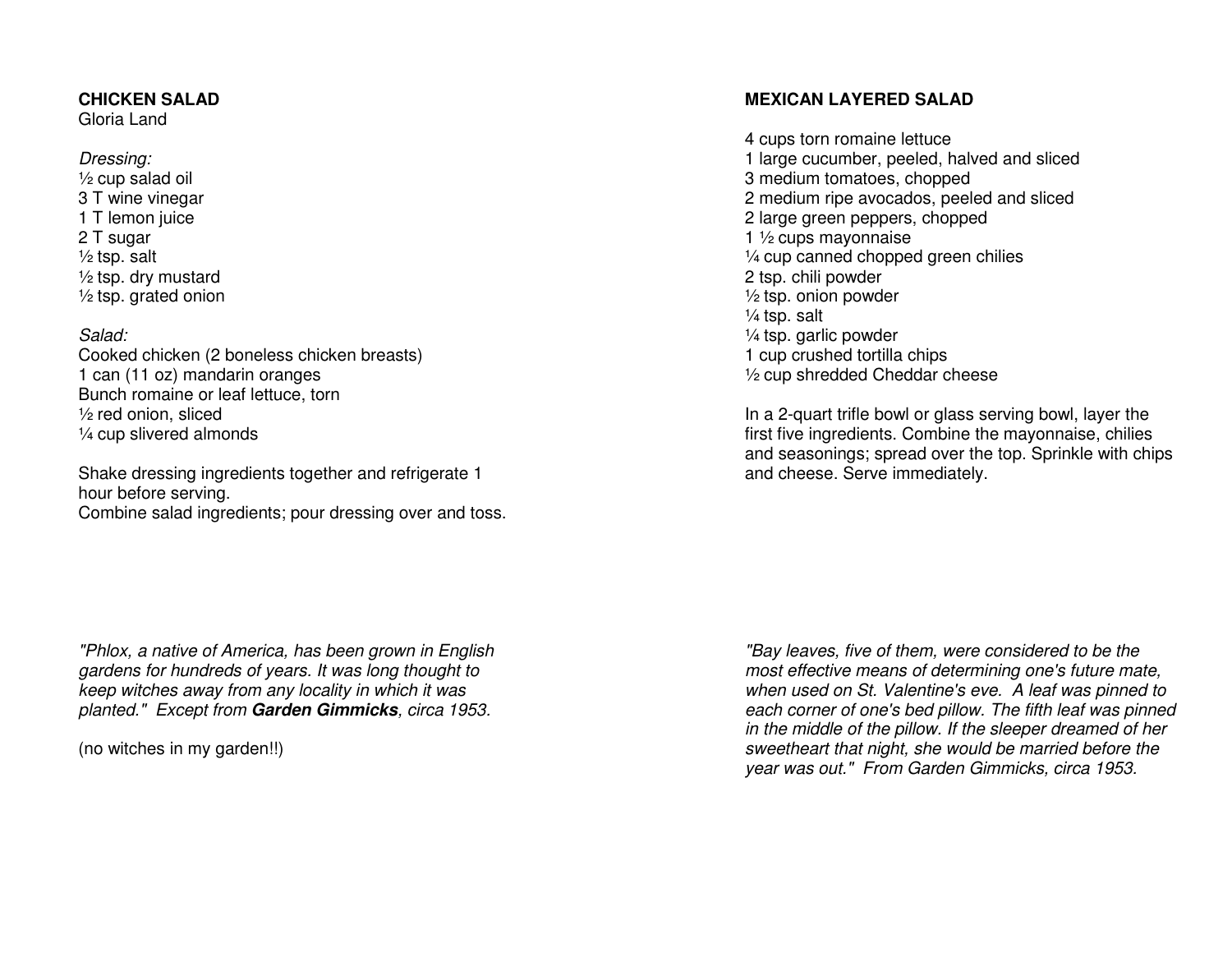#### **CHICKEN SALAD**

Gloria Land

#### Dressing: ½ cup salad oil 3 T wine vinegar 1 T lemon juice 2 T sugar ½ tsp. salt ½ tsp. dry mustard ½ tsp. grated onion

#### Salad:

 Cooked chicken (2 boneless chicken breasts) 1 can (11 oz) mandarin oranges Bunch romaine or leaf lettuce, torn ½ red onion, sliced ¼ cup slivered almonds

Shake dressing ingredients together and refrigerate 1 hour before serving. Combine salad ingredients; pour dressing over and toss.

#### **MEXICAN LAYERED SALAD**

4 cups torn romaine lettuce 1 large cucumber, peeled, halved and sliced 3 medium tomatoes, chopped 2 medium ripe avocados, peeled and sliced 2 large green peppers, chopped 1 ½ cups mayonnaise ¼ cup canned chopped green chilies 2 tsp. chili powder ½ tsp. onion powder  $\frac{1}{4}$  tsp. salt ¼ tsp. garlic powder 1 cup crushed tortilla chips ½ cup shredded Cheddar cheese

In a 2-quart trifle bowl or glass serving bowl, layer the first five ingredients. Combine the mayonnaise, chilies and seasonings; spread over the top. Sprinkle with chips and cheese. Serve immediately.

"Phlox, a native of America, has been grown in English gardens for hundreds of years. It was long thought to keep witches away from any locality in which it wasplanted." Except from **Garden Gimmicks**, circa 1953.

(no witches in my garden!!)

"Bay leaves, five of them, were considered to be the most effective means of determining one's future mate, when used on St. Valentine's eve. A leaf was pinned to each corner of one's bed pillow. The fifth leaf was pinned in the middle of the pillow. If the sleeper dreamed of her sweetheart that night, she would be married before the year was out." From Garden Gimmicks, circa 1953.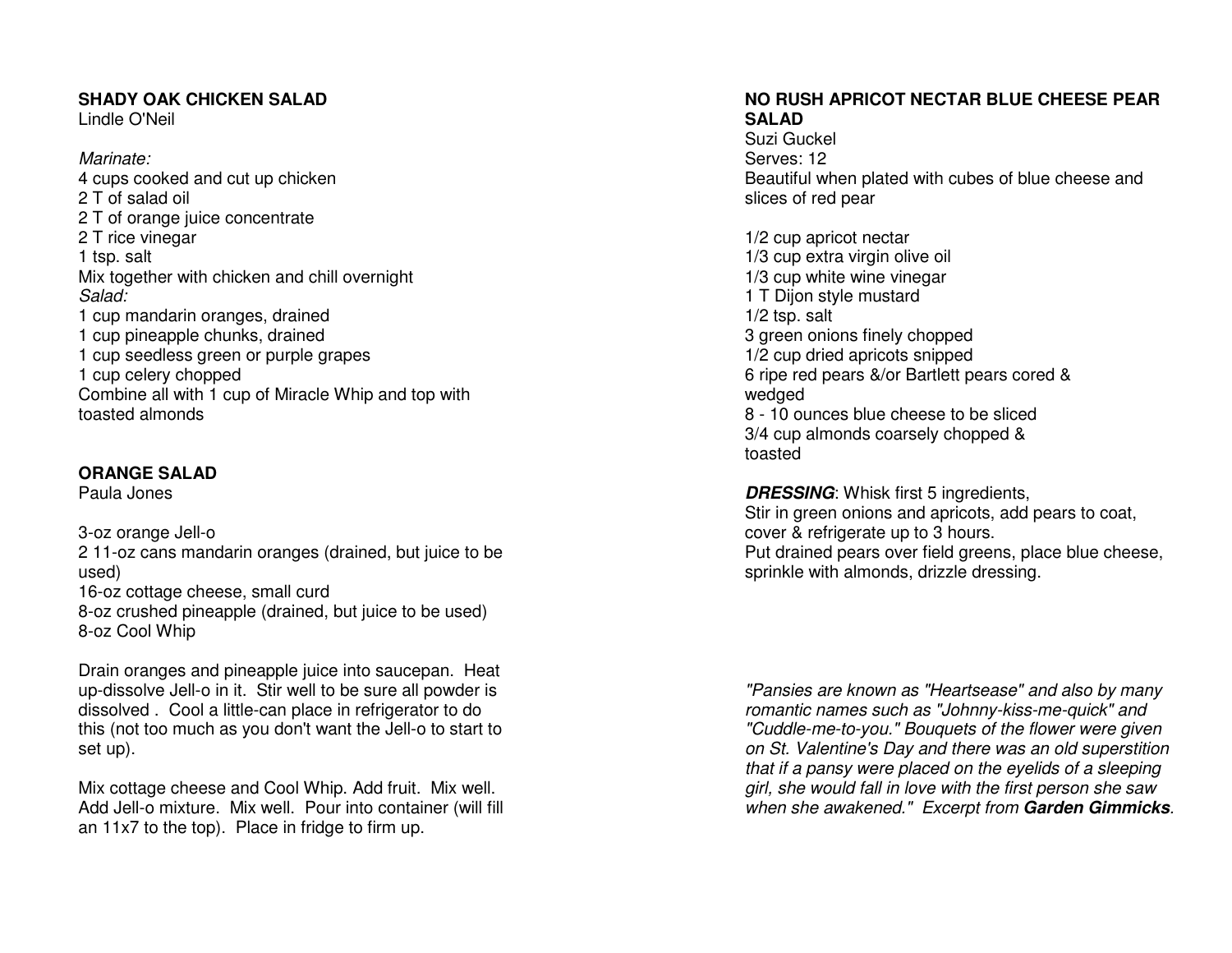#### **SHADY OAK CHICKEN SALAD**

Lindle O'Neil

Marinate: 4 cups cooked and cut up chicken 2 T of salad oil 2 T of orange juice concentrate 2 T rice vinegar 1 tsp. salt Mix together with chicken and chill overnight Salad: 1 cup mandarin oranges, drained 1 cup pineapple chunks, drained 1 cup seedless green or purple grapes 1 cup celery chopped Combine all with 1 cup of Miracle Whip and top withtoasted almonds

#### **ORANGE SALAD**

Paula Jones

3-oz orange Jell-o 2 11-oz cans mandarin oranges (drained, but juice to be used) 16-oz cottage cheese, small curd 8-oz crushed pineapple (drained, but juice to be used) 8-oz Cool Whip

Drain oranges and pineapple juice into saucepan. Heat up-dissolve Jell-o in it. Stir well to be sure all powder is dissolved . Cool a little-can place in refrigerator to do this (not too much as you don't want the Jell-o to start to set up).

Mix cottage cheese and Cool Whip. Add fruit. Mix well. Add Jell-o mixture. Mix well. Pour into container (will fill an 11x7 to the top). Place in fridge to firm up.

#### **NO RUSH APRICOT NECTAR BLUE CHEESE PEAR SALAD**

 Suzi Guckel Serves: 12 Beautiful when plated with cubes of blue cheese andslices of red pear

1/2 cup apricot nectar 1/3 cup extra virgin olive oil 1/3 cup white wine vinegar 1 T Dijon style mustard 1/2 tsp. salt 3 green onions finely chopped 1/2 cup dried apricots snipped 6 ripe red pears &/or Bartlett pears cored & wedged 8 - 10 ounces blue cheese to be sliced 3/4 cup almonds coarsely chopped & toasted

**DRESSING:** Whisk first 5 ingredients, Stir in green onions and apricots, add pears to coat, cover & refrigerate up to 3 hours. Put drained pears over field greens, place blue cheese, sprinkle with almonds, drizzle dressing.

"Pansies are known as "Heartsease" and also by many romantic names such as "Johnny-kiss-me-quick" and "Cuddle-me-to-you." Bouquets of the flower were given on St. Valentine's Day and there was an old superstition that if a pansy were placed on the eyelids of a sleeping girl, she would fall in love with the first person she saw when she awakened." Excerpt from **Garden Gimmicks**.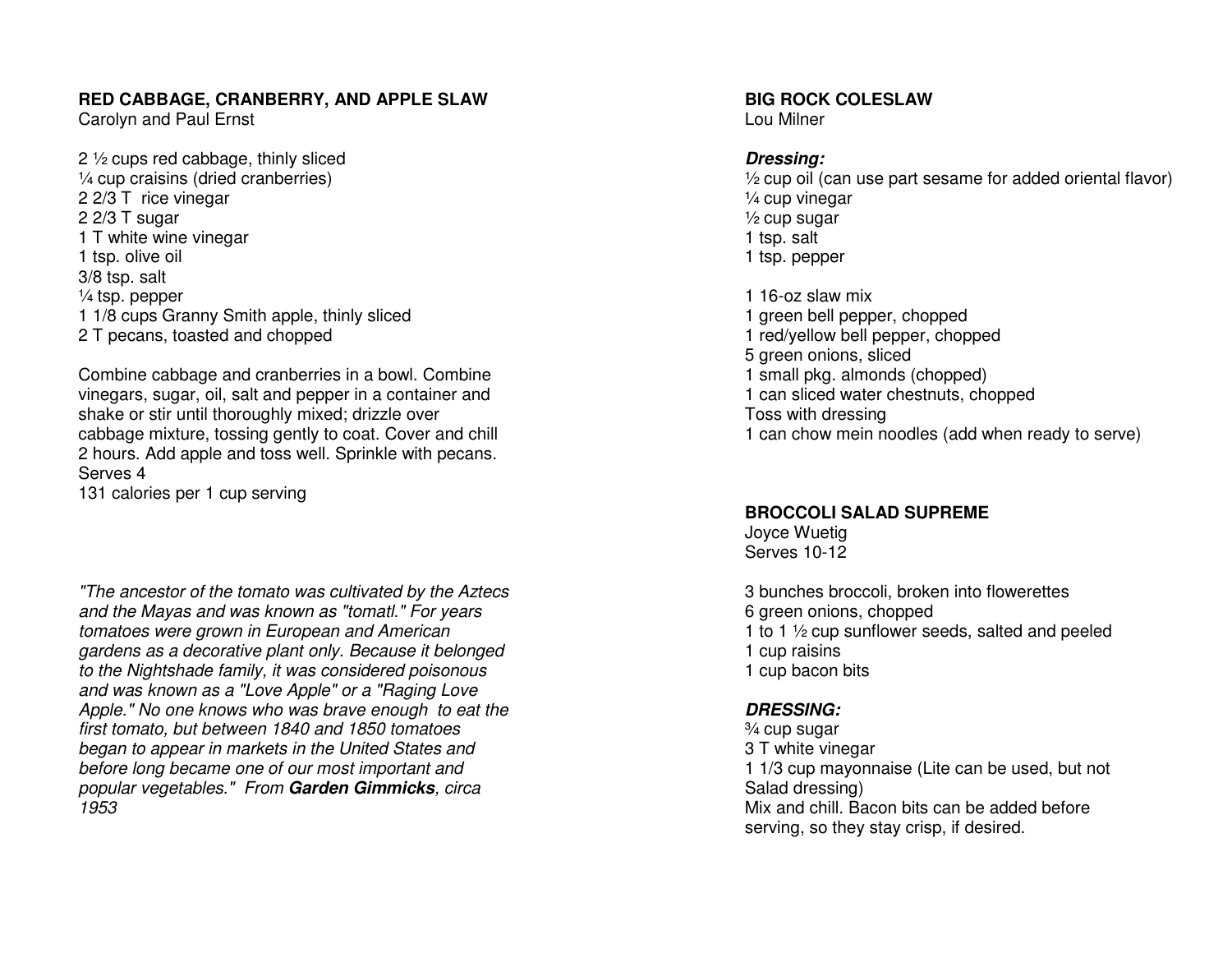#### **RED CABBAGE, CRANBERRY, AND APPLE SLAW**

Carolyn and Paul Ernst

2 ½ cups red cabbage, thinly sliced ¼ cup craisins (dried cranberries) 2 2/3 T rice vinegar 2 2/3 T sugar 1 T white wine vinegar 1 tsp. olive oil 3/8 tsp. salt ¼ tsp. pepper 1 1/8 cups Granny Smith apple, thinly sliced 2 T pecans, toasted and chopped

Combine cabbage and cranberries in a bowl. Combine vinegars, sugar, oil, salt and pepper in a container and shake or stir until thoroughly mixed; drizzle over cabbage mixture, tossing gently to coat. Cover and chill 2 hours. Add apple and toss well. Sprinkle with pecans. Serves 4 131 calories per 1 cup serving

"The ancestor of the tomato was cultivated by the Aztecs and the Mayas and was known as "tomatl." For years tomatoes were grown in European and American gardens as a decorative plant only. Because it belonged to the Nightshade family, it was considered poisonous and was known as a "Love Apple" or a "Raging Love Apple." No one knows who was brave enough to eat the first tomato, but between 1840 and 1850 tomatoes began to appear in markets in the United States and before long became one of our most important and popular vegetables." From **Garden Gimmicks**, circa 1953

**BIG ROCK COLESLAW** Lou Milner

#### **Dressing:**

 ½ cup oil (can use part sesame for added oriental flavor) ¼ cup vinegar ½ cup sugar 1 tsp. salt 1 tsp. pepper

1 16-oz slaw mix 1 green bell pepper, chopped 1 red/yellow bell pepper, chopped 5 green onions, sliced 1 small pkg. almonds (chopped) 1 can sliced water chestnuts, chopped Toss with dressing 1 can chow mein noodles (add when ready to serve)

#### **BROCCOLI SALAD SUPREME**

Joyce Wuetig Serves 10-12

3 bunches broccoli, broken into flowerettes 6 green onions, chopped 1 to 1 ½ cup sunflower seeds, salted and peeled 1 cup raisins 1 cup bacon bits

#### **DRESSING:**

¾ cup sugar 3 T white vinegar 1 1/3 cup mayonnaise (Lite can be used, but not Salad dressing) Mix and chill. Bacon bits can be added before serving, so they stay crisp, if desired.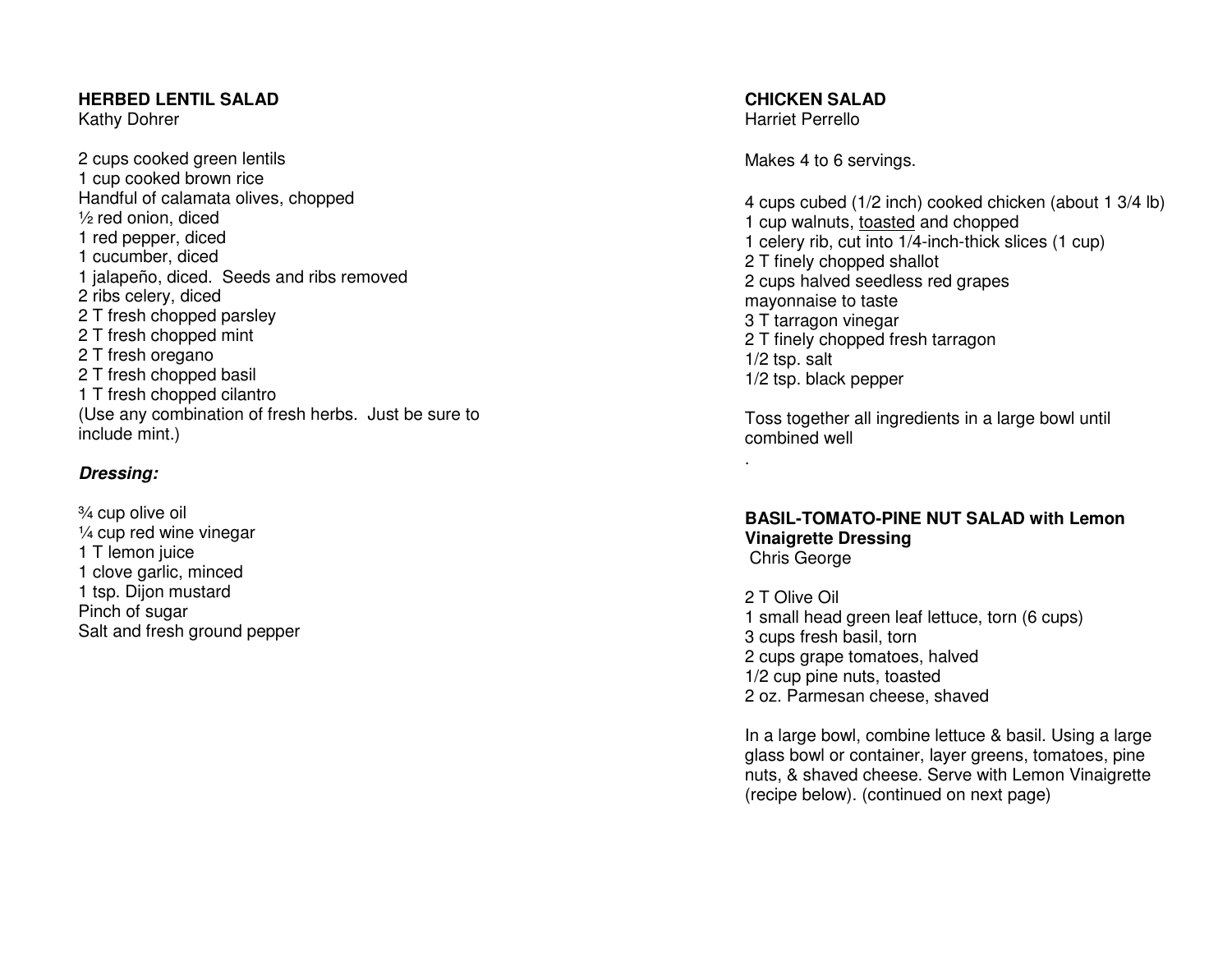#### **HERBED LENTIL SALAD**

Kathy Dohrer

2 cups cooked green lentils 1 cup cooked brown rice Handful of calamata olives, chopped ½ red onion, diced 1 red pepper, diced 1 cucumber, diced 1 jalapeño, diced. Seeds and ribs removed 2 ribs celery, diced 2 T fresh chopped parsley 2 T fresh chopped mint 2 T fresh oregano 2 T fresh chopped basil 1 T fresh chopped cilantro (Use any combination of fresh herbs. Just be sure to include mint.)

#### **Dressing:**

¾ cup olive oil ¼ cup red wine vinegar 1 T lemon juice 1 clove garlic, minced 1 tsp. Dijon mustard Pinch of sugar Salt and fresh ground pepper **CHICKEN SALAD** Harriet Perrello

.

Makes 4 to 6 servings.

4 cups cubed (1/2 inch) cooked chicken (about 1 3/4 lb) 1 cup walnuts, toasted and chopped 1 celery rib, cut into 1/4-inch-thick slices (1 cup) 2 T finely chopped shallot 2 cups halved seedless red grapes mayonnaise to taste 3 T tarragon vinegar 2 T finely chopped fresh tarragon 1/2 tsp. salt 1/2 tsp. black pepper

Toss together all ingredients in a large bowl untilcombined well

**BASIL-TOMATO-PINE NUT SALAD with Lemon Vinaigrette Dressing**Chris George

2 T Olive Oil 1 small head green leaf lettuce, torn (6 cups) 3 cups fresh basil, torn 2 cups grape tomatoes, halved 1/2 cup pine nuts, toasted 2 oz. Parmesan cheese, shaved

In a large bowl, combine lettuce & basil. Using a large glass bowl or container, layer greens, tomatoes, pine nuts, & shaved cheese. Serve with Lemon Vinaigrette(recipe below). (continued on next page)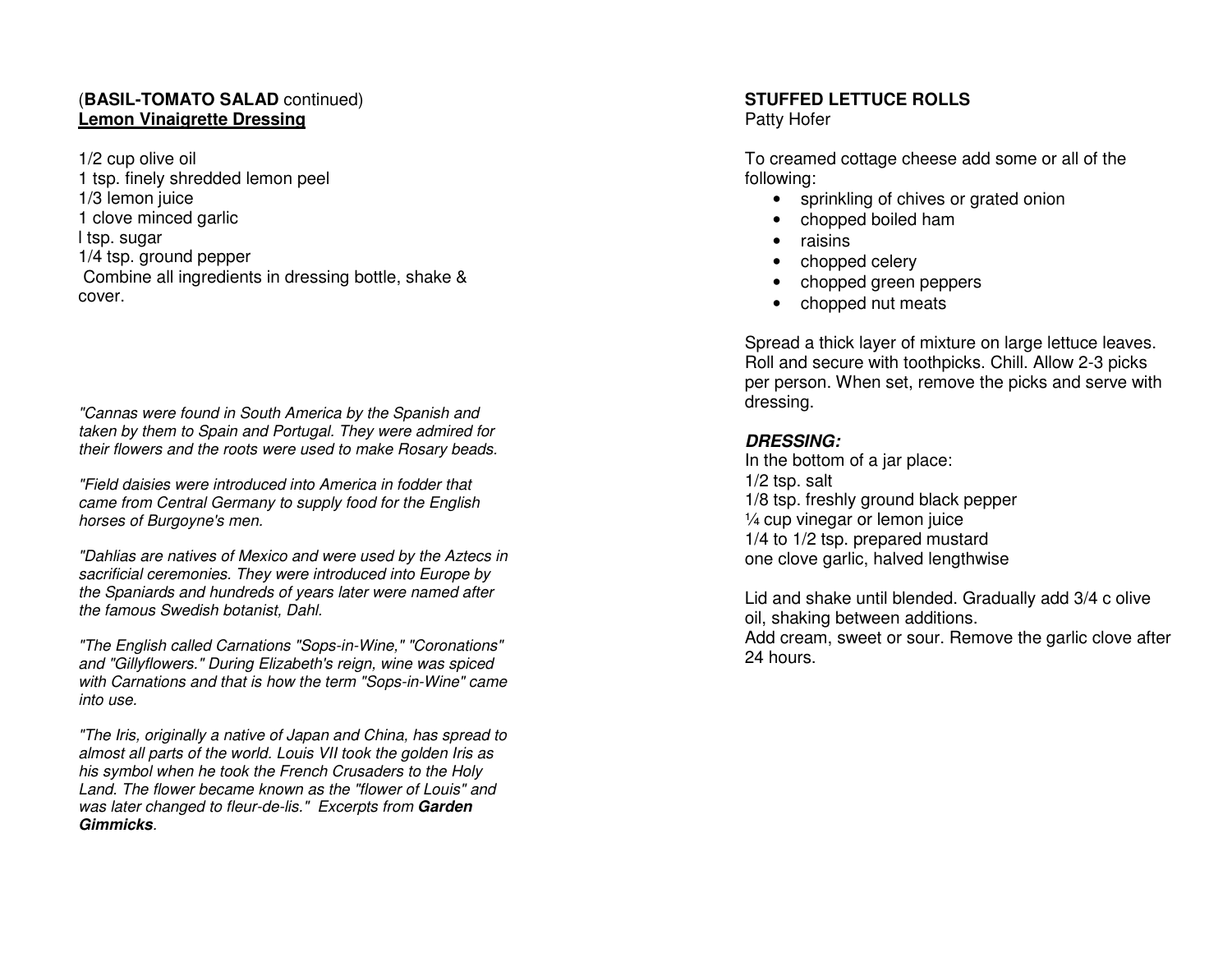#### (**BASIL-TOMATO SALAD** continued) **Lemon Vinaigrette Dressing**

1/2 cup olive oil 1 tsp. finely shredded lemon peel 1/3 lemon juice 1 clove minced garlic l tsp. sugar 1/4 tsp. ground pepper Combine all ingredients in dressing bottle, shake & cover.

"Cannas were found in South America by the Spanish and taken by them to Spain and Portugal. They were admired for their flowers and the roots were used to make Rosary beads.

"Field daisies were introduced into America in fodder that came from Central Germany to supply food for the English horses of Burgoyne's men.

"Dahlias are natives of Mexico and were used by the Aztecs in sacrificial ceremonies. They were introduced into Europe by the Spaniards and hundreds of years later were named after the famous Swedish botanist, Dahl.

"The English called Carnations "Sops-in-Wine," "Coronations" and "Gillyflowers." During Elizabeth's reign, wine was spiced with Carnations and that is how the term "Sops-in-Wine" came into use.

"The Iris, originally a native of Japan and China, has spread to almost all parts of the world. Louis VII took the golden Iris as his symbol when he took the French Crusaders to the Holy Land. The flower became known as the "flower of Louis" and was later changed to fleur-de-lis." Excerpts from **Garden Gimmicks**.

#### **STUFFED LETTUCE ROLLS**

Patty Hofer

To creamed cottage cheese add some or all of the following:

- sprinkling of chives or grated onion
- chopped boiled ham
- raisins
- chopped celery
- chopped green peppers
- chopped nut meats

Spread a thick layer of mixture on large lettuce leaves. Roll and secure with toothpicks. Chill. Allow 2-3 picks per person. When set, remove the picks and serve with dressing.

#### **DRESSING:**

 In the bottom of a jar place: 1/2 tsp. salt 1/8 tsp. freshly ground black pepper ¼ cup vinegar or lemon juice 1/4 to 1/2 tsp. prepared mustard one clove garlic, halved lengthwise

Lid and shake until blended. Gradually add 3/4 c olive oil, shaking between additions. Add cream, sweet or sour. Remove the garlic clove after 24 hours.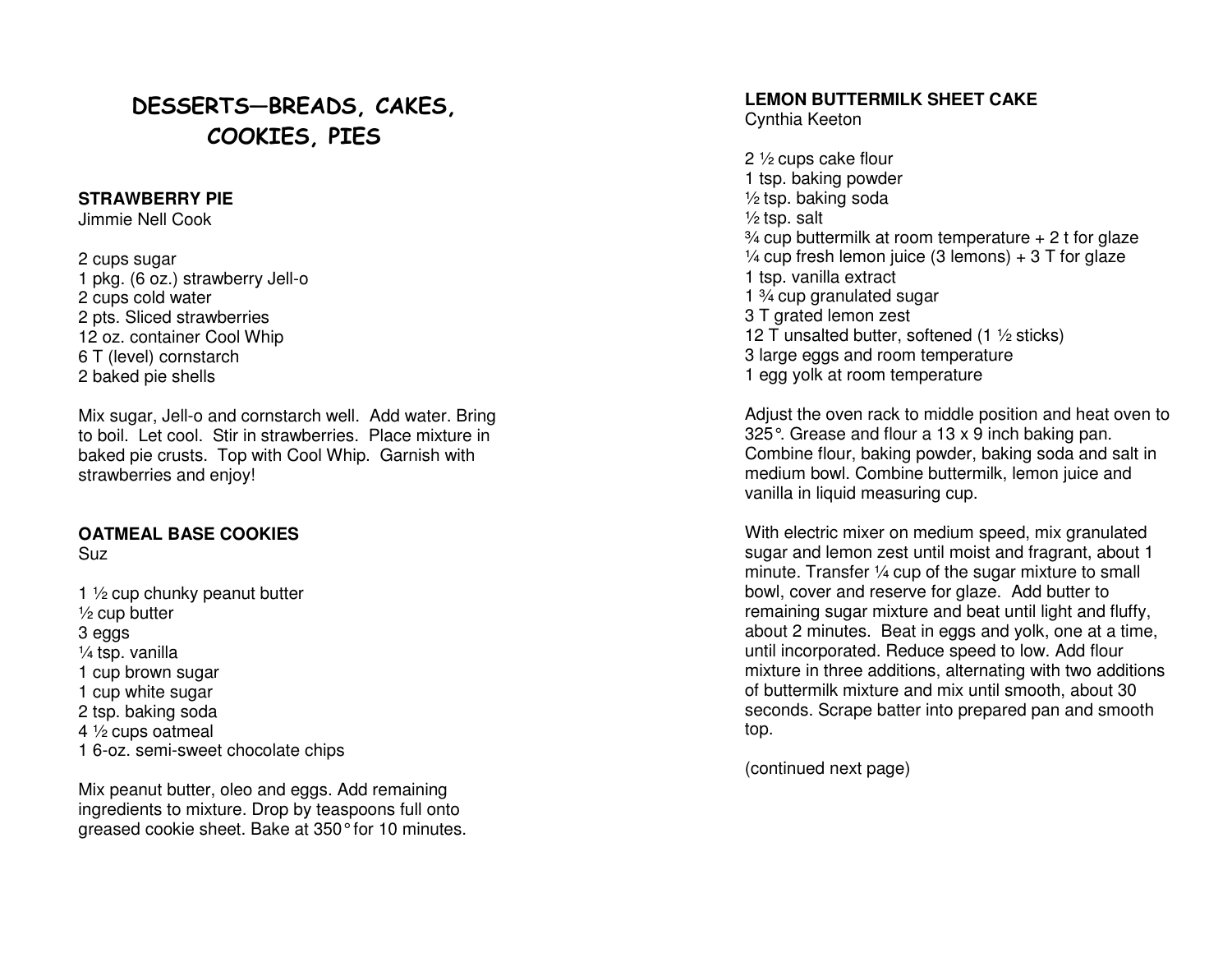## DESSERTS—BREADS, CAKES, COOKIES, PIES

#### **STRAWBERRY PIE**

Jimmie Nell Cook

2 cups sugar 1 pkg. (6 oz.) strawberry Jell-o 2 cups cold water 2 pts. Sliced strawberries 12 oz. container Cool Whip 6 T (level) cornstarch 2 baked pie shells

Mix sugar, Jell-o and cornstarch well. Add water. Bring to boil. Let cool. Stir in strawberries. Place mixture in baked pie crusts. Top with Cool Whip. Garnish with strawberries and enjoy!

#### **OATMEAL BASE COOKIES**

Suz

1 ½ cup chunky peanut butter ½ cup butter 3 eggs ¼ tsp. vanilla 1 cup brown sugar 1 cup white sugar 2 tsp. baking soda 4 ½ cups oatmeal 1 6-oz. semi-sweet chocolate chips

Mix peanut butter, oleo and eggs. Add remaining ingredients to mixture. Drop by teaspoons full ontogreased cookie sheet. Bake at 350° for 10 minutes.

#### **LEMON BUTTERMILK SHEET CAKE**

Cynthia Keeton

2 ½ cups cake flour 1 tsp. baking powder  $\frac{1}{2}$  tsp. baking soda  $\frac{1}{2}$  tsp. salt  $\frac{3}{4}$  cup buttermilk at room temperature  $+2$  t for glaze  $\frac{1}{4}$  cup fresh lemon juice (3 lemons) + 3 T for glaze 1 tsp. vanilla extract 1 ¾ cup granulated sugar 3 T grated lemon zest 12 T unsalted butter, softened  $(1 \frac{1}{2})$  sticks) 3 large eggs and room temperature 1 egg yolk at room temperature

Adjust the oven rack to middle position and heat oven to 325°. Grease and flour a 13 x 9 inch baking pan. Combine flour, baking powder, baking soda and salt in medium bowl. Combine buttermilk, lemon juice and vanilla in liquid measuring cup.

With electric mixer on medium speed, mix granulated sugar and lemon zest until moist and fragrant, about 1 minute. Transfer ¼ cup of the sugar mixture to small bowl, cover and reserve for glaze. Add butter to remaining sugar mixture and beat until light and fluffy, about 2 minutes. Beat in eggs and yolk, one at a time, until incorporated. Reduce speed to low. Add flour mixture in three additions, alternating with two additions of buttermilk mixture and mix until smooth, about 30 seconds. Scrape batter into prepared pan and smoothtop.

(continued next page)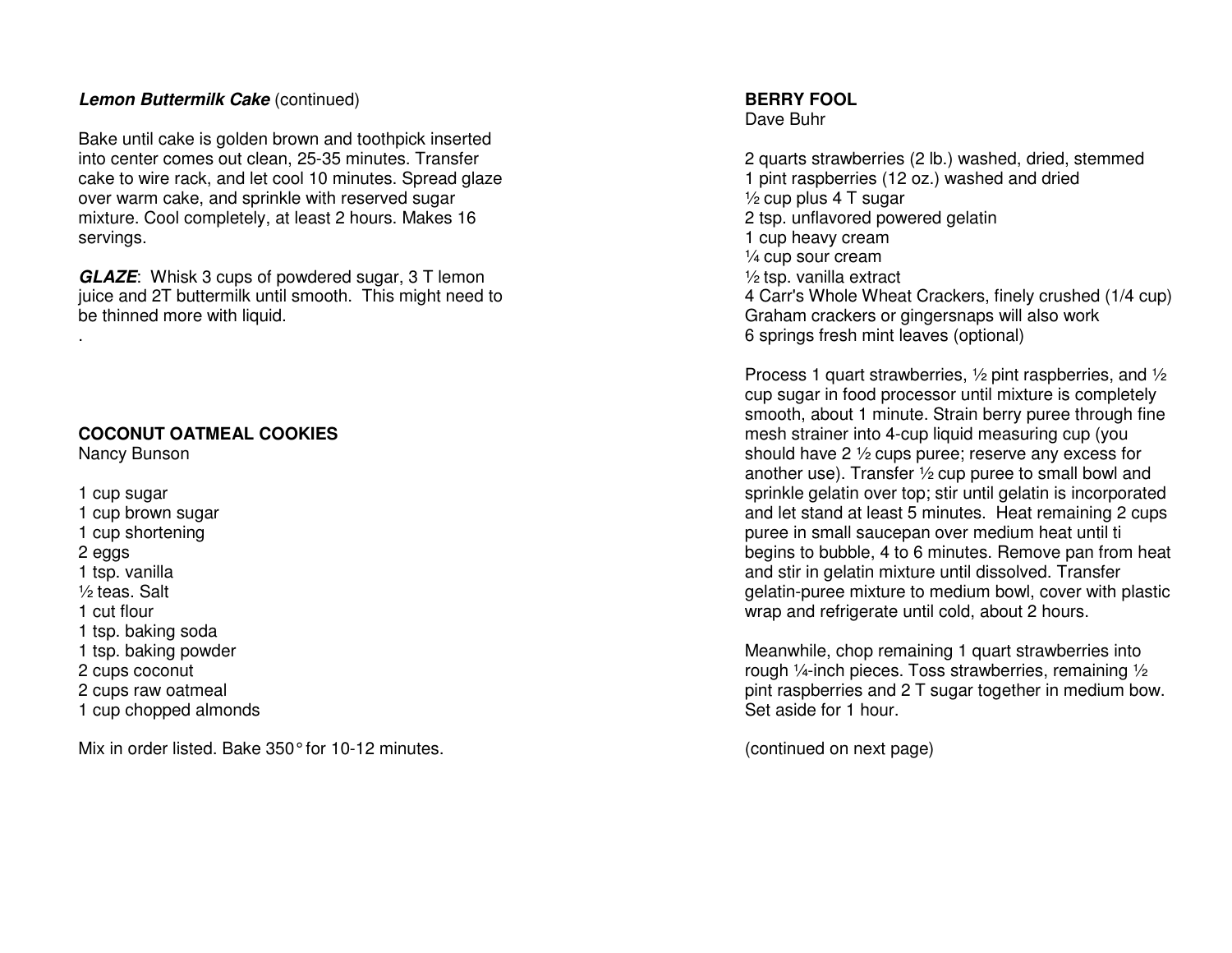#### **Lemon Buttermilk Cake** (continued)

Bake until cake is golden brown and toothpick inserted into center comes out clean, 25-35 minutes. Transfer cake to wire rack, and let cool 10 minutes. Spread glaze over warm cake, and sprinkle with reserved sugar mixture. Cool completely, at least 2 hours. Makes 16 servings.

**GLAZE**: Whisk 3 cups of powdered sugar, 3 T lemon juice and 2T buttermilk until smooth. This might need to be thinned more with liquid.

#### **COCONUT OATMEAL COOKIES**

Nancy Bunson

.

1 cup sugar 1 cup brown sugar 1 cup shortening 2 eggs 1 tsp. vanilla ½ teas. Salt 1 cut flour 1 tsp. baking soda 1 tsp. baking powder 2 cups coconut 2 cups raw oatmeal 1 cup chopped almonds

Mix in order listed. Bake 350° for 10-12 minutes.

#### **BERRY FOOL**

Dave Buhr

2 quarts strawberries (2 lb.) washed, dried, stemmed 1 pint raspberries (12 oz.) washed and dried ½ cup plus 4 T sugar 2 tsp. unflavored powered gelatin 1 cup heavy cream ¼ cup sour cream ½ tsp. vanilla extract 4 Carr's Whole Wheat Crackers, finely crushed (1/4 cup) Graham crackers or gingersnaps will also work 6 springs fresh mint leaves (optional)

Process 1 quart strawberries, ½ pint raspberries, and ½ cup sugar in food processor until mixture is completely smooth, about 1 minute. Strain berry puree through fine mesh strainer into 4-cup liquid measuring cup (you should have 2 ½ cups puree; reserve any excess for another use). Transfer ½ cup puree to small bowl and sprinkle gelatin over top; stir until gelatin is incorporated and let stand at least 5 minutes. Heat remaining 2 cups puree in small saucepan over medium heat until ti begins to bubble, 4 to 6 minutes. Remove pan from heat and stir in gelatin mixture until dissolved. Transfer gelatin-puree mixture to medium bowl, cover with plastic wrap and refrigerate until cold, about 2 hours.

Meanwhile, chop remaining 1 quart strawberries into rough ¼-inch pieces. Toss strawberries, remaining ½ pint raspberries and 2 T sugar together in medium bow. Set aside for 1 hour.

(continued on next page)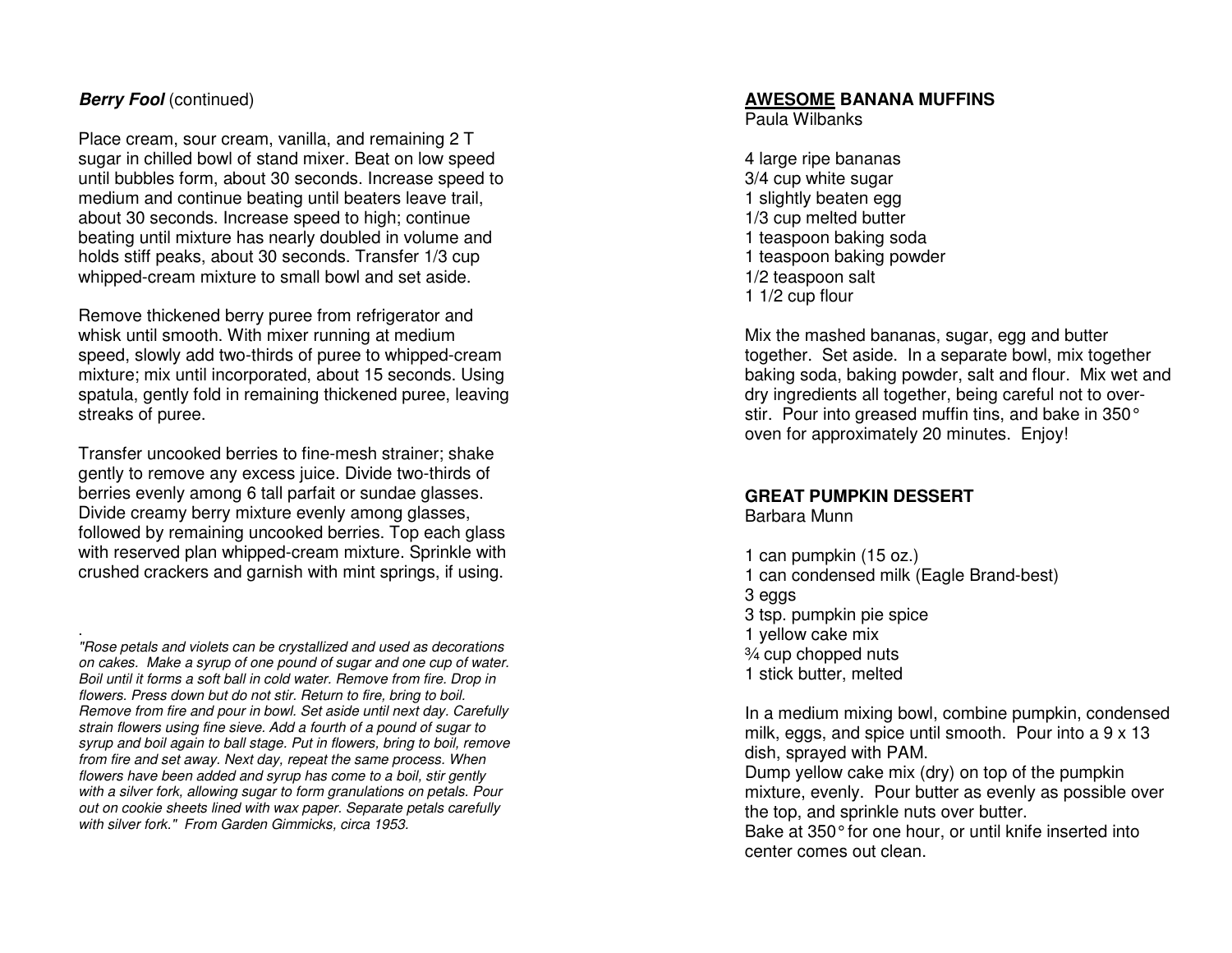#### **Berry Fool** (continued)

.

Place cream, sour cream, vanilla, and remaining 2 T sugar in chilled bowl of stand mixer. Beat on low speed until bubbles form, about 30 seconds. Increase speed to medium and continue beating until beaters leave trail, about 30 seconds. Increase speed to high; continue beating until mixture has nearly doubled in volume and holds stiff peaks, about 30 seconds. Transfer 1/3 cup whipped-cream mixture to small bowl and set aside.

Remove thickened berry puree from refrigerator and whisk until smooth. With mixer running at medium speed, slowly add two-thirds of puree to whipped-cream mixture; mix until incorporated, about 15 seconds. Using spatula, gently fold in remaining thickened puree, leaving streaks of puree.

Transfer uncooked berries to fine-mesh strainer; shake gently to remove any excess juice. Divide two-thirds of berries evenly among 6 tall parfait or sundae glasses. Divide creamy berry mixture evenly among glasses, followed by remaining uncooked berries. Top each glass with reserved plan whipped-cream mixture. Sprinkle with crushed crackers and garnish with mint springs, if using.

 "Rose petals and violets can be crystallized and used as decorations on cakes. Make a syrup of one pound of sugar and one cup of water. Boil until it forms a soft ball in cold water. Remove from fire. Drop in flowers. Press down but do not stir. Return to fire, bring to boil. Remove from fire and pour in bowl. Set aside until next day. Carefully strain flowers using fine sieve. Add a fourth of a pound of sugar to syrup and boil again to ball stage. Put in flowers, bring to boil, remove from fire and set away. Next day, repeat the same process. When flowers have been added and syrup has come to a boil, stir gently with a silver fork, allowing sugar to form granulations on petals. Pour out on cookie sheets lined with wax paper. Separate petals carefully with silver fork." From Garden Gimmicks, circa 1953.

#### **AWESOME BANANA MUFFINS**

Paula Wilbanks

4 large ripe bananas 3/4 cup white sugar 1 slightly beaten egg 1/3 cup melted butter 1 teaspoon baking soda 1 teaspoon baking powder 1/2 teaspoon salt 1 1/2 cup flour

Mix the mashed bananas, sugar, egg and butter together. Set aside. In a separate bowl, mix together baking soda, baking powder, salt and flour. Mix wet and dry ingredients all together, being careful not to overstir. Pour into greased muffin tins, and bake in 350° oven for approximately 20 minutes. Enjoy!

#### **GREAT PUMPKIN DESSERT**

Barbara Munn

1 can pumpkin (15 oz.) 1 can condensed milk (Eagle Brand-best) 3 eggs 3 tsp. pumpkin pie spice 1 yellow cake mix % cup chopped nuts 1 stick butter, melted

In a medium mixing bowl, combine pumpkin, condensedmilk, eggs, and spice until smooth. Pour into a 9 x 13 dish, sprayed with PAM.

 Dump yellow cake mix (dry) on top of the pumpkin mixture, evenly. Pour butter as evenly as possible over the top, and sprinkle nuts over butter.

Bake at 350° for one hour, or until knife inserted into center comes out clean.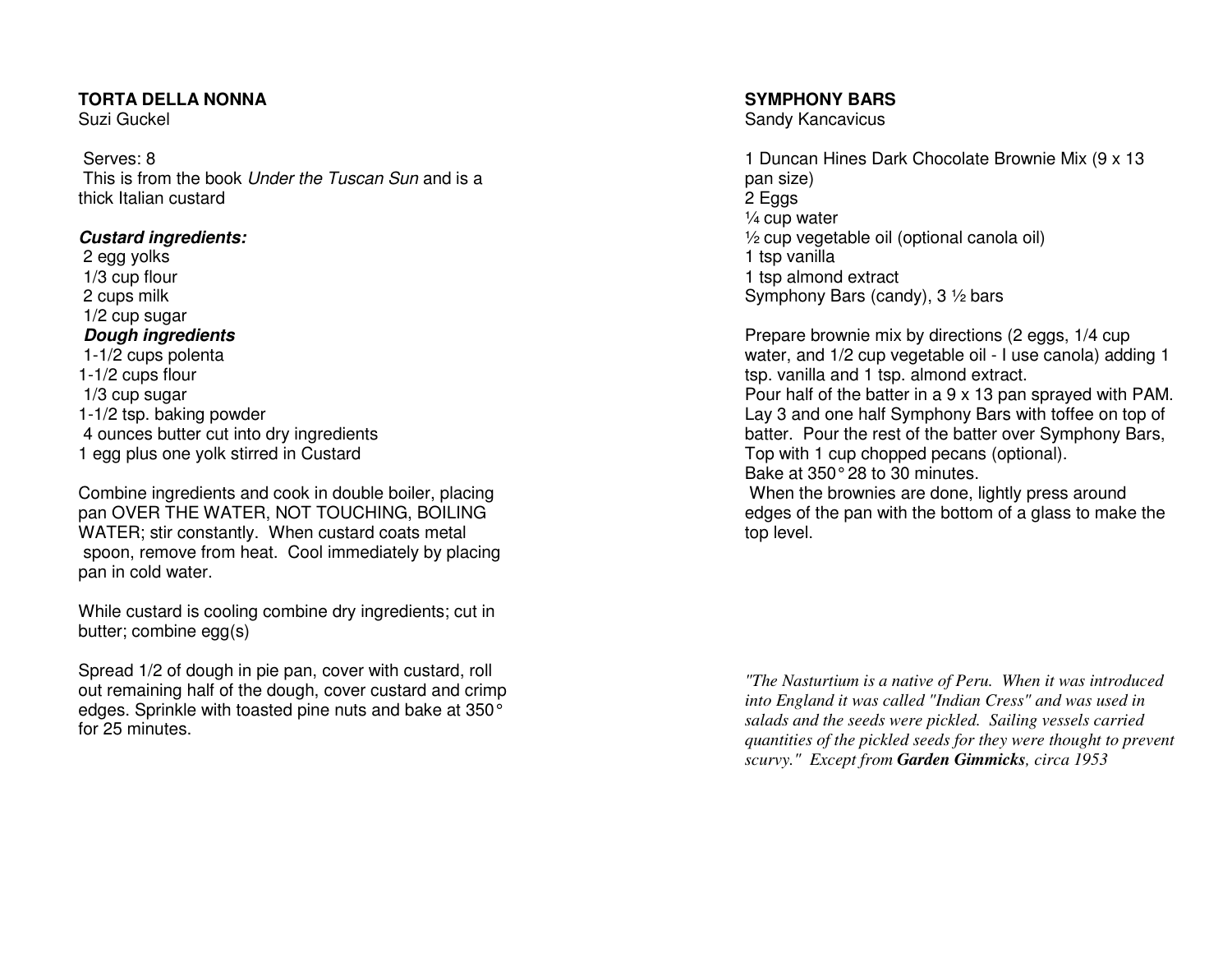#### **TORTA DELLA NONNA**

Suzi Guckel

 Serves: 8 This is from the book *Under the Tuscan Sun* and is a thick Italian custard

#### **Custard ingredients:**

 2 egg yolks 1/3 cup flour 2 cups milk 1/2 cup sugar  **Dough ingredients**  1-1/2 cups polenta 1-1/2 cups flour 1/3 cup sugar 1-1/2 tsp. baking powder 4 ounces butter cut into dry ingredients 1 egg plus one yolk stirred in Custard

Combine ingredients and cook in double boiler, placing pan OVER THE WATER, NOT TOUCHING, BOILING WATER; stir constantly. When custard coats metal spoon, remove from heat. Cool immediately by placing pan in cold water.

While custard is cooling combine dry ingredients; cut in butter; combine egg(s)

Spread 1/2 of dough in pie pan, cover with custard, roll out remaining half of the dough, cover custard and crimp edges. Sprinkle with toasted pine nuts and bake at 350° for 25 minutes.

#### **SYMPHONY BARS**

Sandy Kancavicus

1 Duncan Hines Dark Chocolate Brownie Mix (9 x 13 pan size) 2 Eggs ¼ cup water ½ cup vegetable oil (optional canola oil) 1 tsp vanilla 1 tsp almond extract Symphony Bars (candy), 3 1/2 bars

Prepare brownie mix by directions (2 eggs, 1/4 cup water, and 1/2 cup vegetable oil - I use canola) adding 1 tsp. vanilla and 1 tsp. almond extract. Pour half of the batter in a 9 x 13 pan sprayed with PAM. Lay 3 and one half Symphony Bars with toffee on top of batter. Pour the rest of the batter over Symphony Bars, Top with 1 cup chopped pecans (optional). Bake at 350° 28 to 30 minutes. When the brownies are done, lightly press around

 edges of the pan with the bottom of a glass to make the top level.

*"The Nasturtium is a native of Peru. When it was introduced into England it was called "Indian Cress" and was used in salads and the seeds were pickled. Sailing vessels carried quantities of the pickled seeds for they were thought to prevent scurvy." Except from Garden Gimmicks, circa 1953*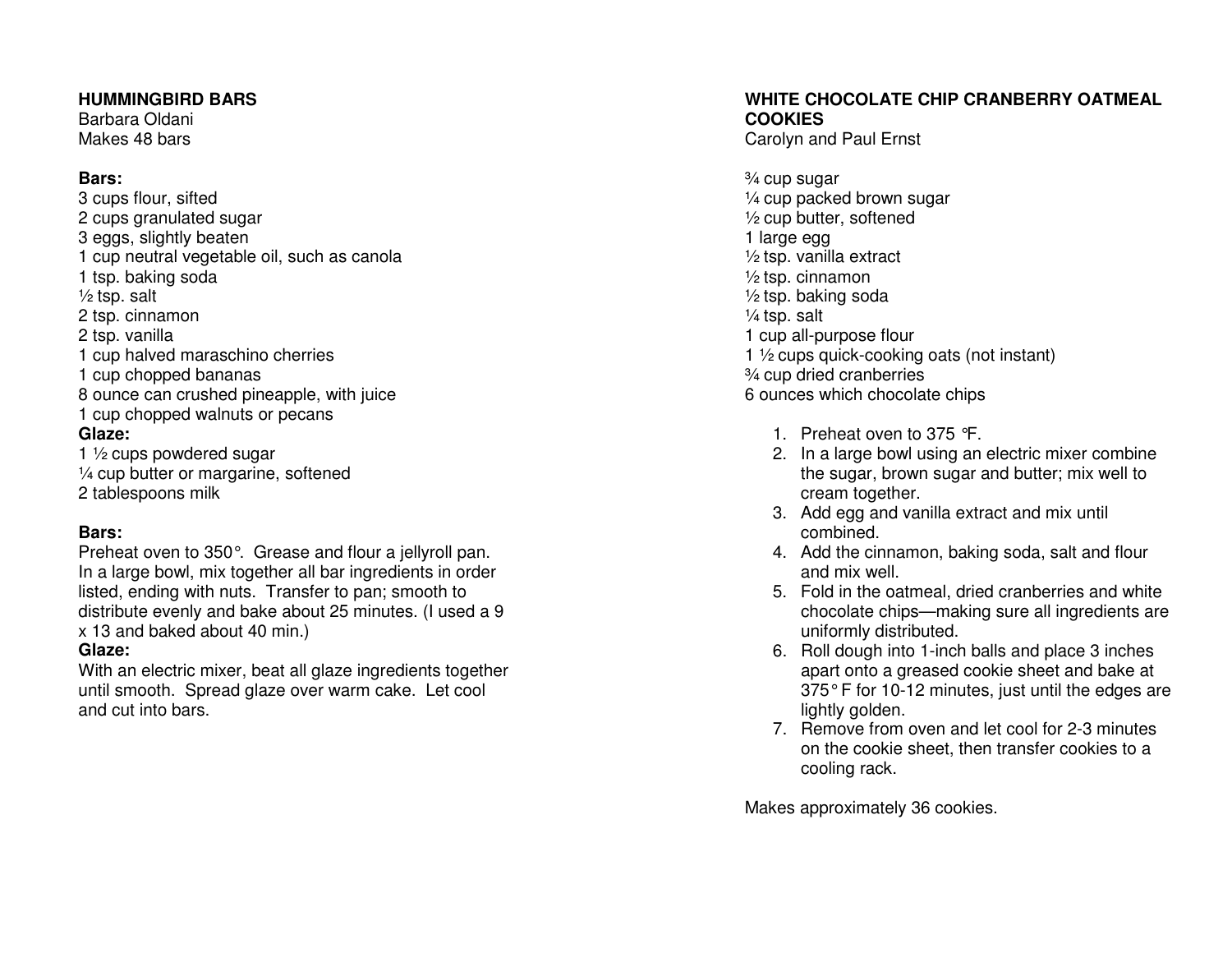#### **HUMMINGBIRD BARS**

Barbara Oldani Makes 48 bars

#### **Bars:**

 3 cups flour, sifted 2 cups granulated sugar 3 eggs, slightly beaten 1 cup neutral vegetable oil, such as canola 1 tsp. baking soda  $\frac{1}{2}$  tsp. salt 2 tsp. cinnamon 2 tsp. vanilla 1 cup halved maraschino cherries 1 cup chopped bananas 8 ounce can crushed pineapple, with juice 1 cup chopped walnuts or pecans **Glaze:** 

 1 ½ cups powdered sugar ¼ cup butter or margarine, softened 2 tablespoons milk

#### **Bars:**

 Preheat oven to 350°. Grease and flour a jellyroll pan. In a large bowl, mix together all bar ingredients in order listed, ending with nuts. Transfer to pan; smooth to distribute evenly and bake about 25 minutes. (I used a 9 x 13 and baked about 40 min.)

#### **Glaze:**

 With an electric mixer, beat all glaze ingredients together until smooth. Spread glaze over warm cake. Let cool and cut into bars.

### **WHITE CHOCOLATE CHIP CRANBERRY OATMEAL COOKIES**

Carolyn and Paul Ernst

¾ cup sugar ¼ cup packed brown sugar ½ cup butter, softened 1 large egg ½ tsp. vanilla extract ½ tsp. cinnamon ½ tsp. baking soda ¼ tsp. salt 1 cup all-purpose flour 1 ½ cups quick-cooking oats (not instant) ¾ cup dried cranberries 6 ounces which chocolate chips

- 1. Preheat oven to 375 °F.
- 2. In a large bowl using an electric mixer combine the sugar, brown sugar and butter; mix well to cream together.
- 3. Add egg and vanilla extract and mix until combined.
- 4. Add the cinnamon, baking soda, salt and flour and mix well.
- 5. Fold in the oatmeal, dried cranberries and white chocolate chips—making sure all ingredients are uniformly distributed.
- 6. Roll dough into 1-inch balls and place 3 inches apart onto a greased cookie sheet and bake at 375°F for 10-12 minutes, just until the edges are lightly golden.
- 7. Remove from oven and let cool for 2-3 minutes on the cookie sheet, then transfer cookies to a cooling rack.

Makes approximately 36 cookies.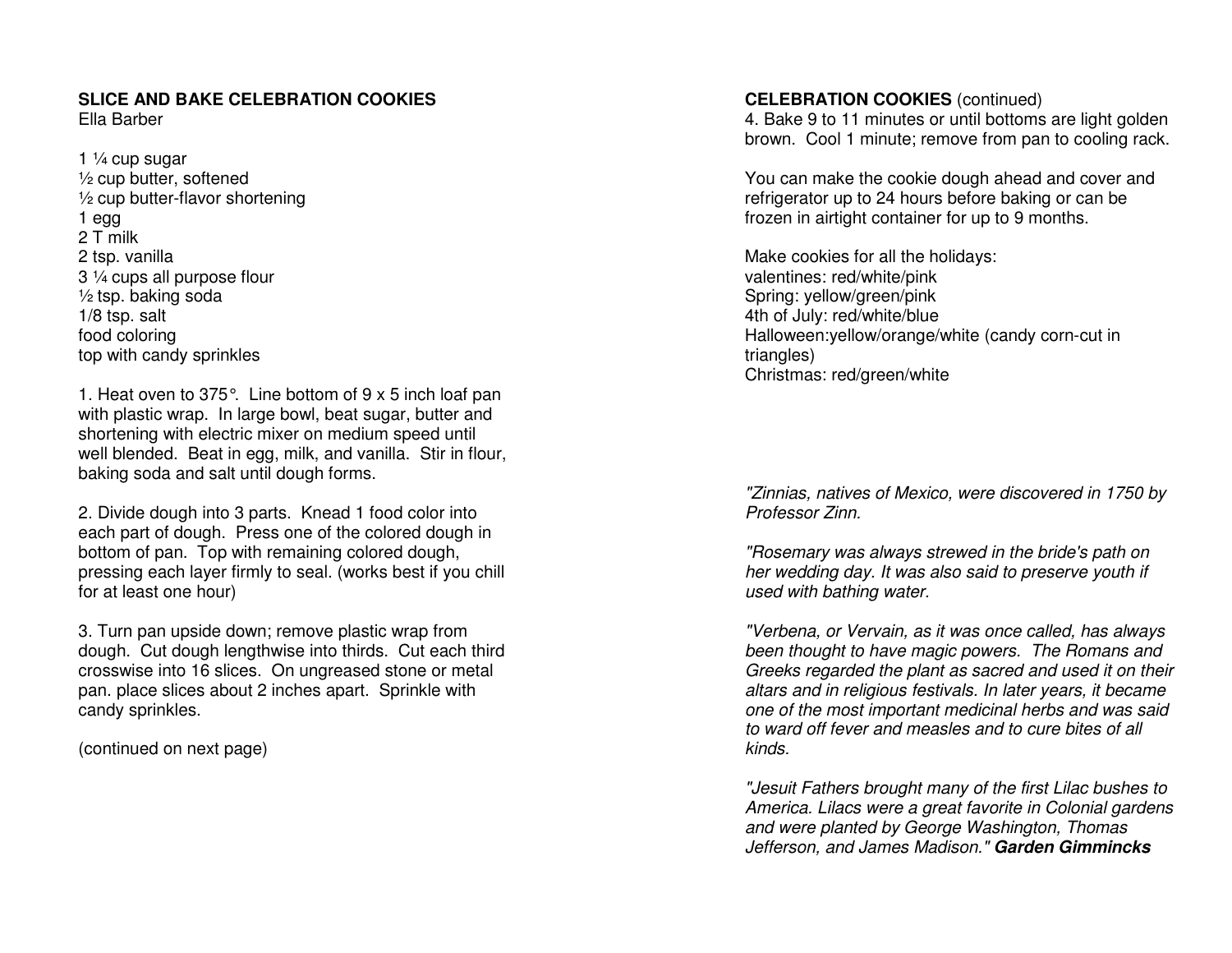## **SLICE AND BAKE CELEBRATION COOKIES**

Ella Barber

1 ¼ cup sugar ½ cup butter, softened ½ cup butter-flavor shortening 1 egg 2 T milk 2 tsp. vanilla 3 ¼ cups all purpose flour ½ tsp. baking soda 1/8 tsp. salt food coloring top with candy sprinkles

1. Heat oven to 375°. Line bottom of 9 x 5 inch loaf pan with plastic wrap. In large bowl, beat sugar, butter and shortening with electric mixer on medium speed until well blended. Beat in egg, milk, and vanilla. Stir in flour, baking soda and salt until dough forms.

2. Divide dough into 3 parts. Knead 1 food color into each part of dough. Press one of the colored dough in bottom of pan. Top with remaining colored dough, pressing each layer firmly to seal. (works best if you chill for at least one hour)

3. Turn pan upside down; remove plastic wrap from dough. Cut dough lengthwise into thirds. Cut each third crosswise into 16 slices. On ungreased stone or metal pan. place slices about 2 inches apart. Sprinkle with candy sprinkles.

(continued on next page)

#### **CELEBRATION COOKIES** (continued)

 4. Bake 9 to 11 minutes or until bottoms are light golden brown. Cool 1 minute; remove from pan to cooling rack.

You can make the cookie dough ahead and cover and refrigerator up to 24 hours before baking or can befrozen in airtight container for up to 9 months.

Make cookies for all the holidays: valentines: red/white/pink Spring: yellow/green/pink 4th of July: red/white/blue Halloween:yellow/orange/white (candy corn-cut in triangles) Christmas: red/green/white

"Zinnias, natives of Mexico, were discovered in 1750 by Professor Zinn.

"Rosemary was always strewed in the bride's path on her wedding day. It was also said to preserve youth if used with bathing water.

"Verbena, or Vervain, as it was once called, has always been thought to have magic powers. The Romans and Greeks regarded the plant as sacred and used it on their altars and in religious festivals. In later years, it became one of the most important medicinal herbs and was said to ward off fever and measles and to cure bites of all kinds.

"Jesuit Fathers brought many of the first Lilac bushes to America. Lilacs were a great favorite in Colonial gardens and were planted by George Washington, Thomas Jefferson, and James Madison." **Garden Gimmincks**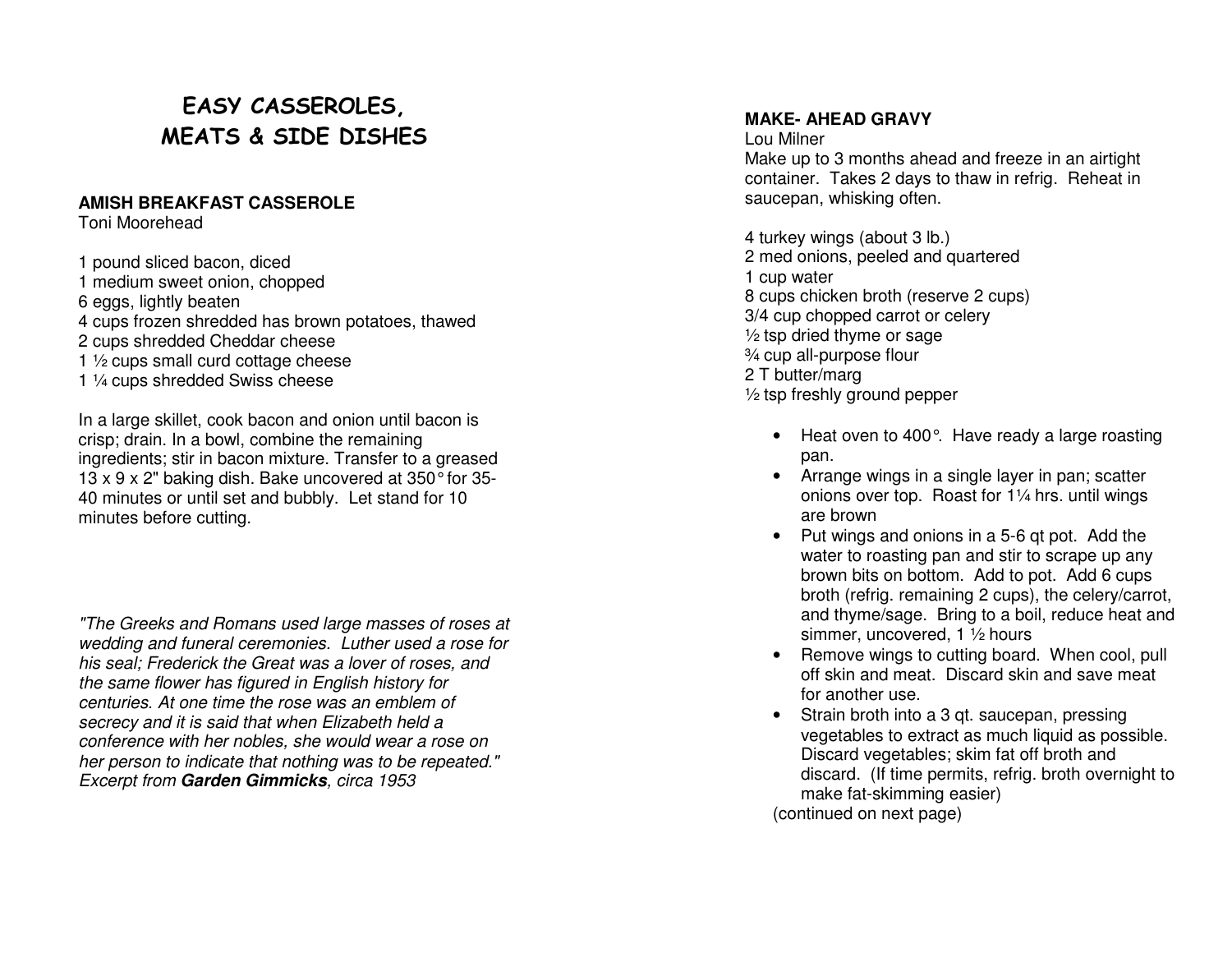# EASY CASSEROLES, MEATS & SIDE DISHES

#### **AMISH BREAKFAST CASSEROLE**

Toni Moorehead

1 pound sliced bacon, diced 1 medium sweet onion, chopped 6 eggs, lightly beaten 4 cups frozen shredded has brown potatoes, thawed 2 cups shredded Cheddar cheese 1 1/2 cups small curd cottage cheese 1 ¼ cups shredded Swiss cheese

In a large skillet, cook bacon and onion until bacon is crisp; drain. In a bowl, combine the remaining ingredients; stir in bacon mixture. Transfer to a greased 13 x 9 x 2" baking dish. Bake uncovered at 350° for 35-40 minutes or until set and bubbly. Let stand for 10 minutes before cutting.

"The Greeks and Romans used large masses of roses at wedding and funeral ceremonies. Luther used a rose for his seal; Frederick the Great was a lover of roses, and the same flower has figured in English history for centuries. At one time the rose was an emblem of secrecy and it is said that when Elizabeth held a conference with her nobles, she would wear a rose on her person to indicate that nothing was to be repeated." Excerpt from **Garden Gimmicks**, circa 1953

#### **MAKE- AHEAD GRAVY**

Lou Milner Make up to 3 months ahead and freeze in an airtight container. Takes 2 days to thaw in refrig. Reheat in saucepan, whisking often.

4 turkey wings (about 3 lb.) 2 med onions, peeled and quartered 1 cup water 8 cups chicken broth (reserve 2 cups) 3/4 cup chopped carrot or celery ½ tsp dried thyme or sage ¾ cup all-purpose flour 2 T butter/marg ½ tsp freshly ground pepper

- Heat oven to 400°. Have ready a large roasting pan.
- Arrange wings in a single layer in pan; scatter onions over top. Roast for 1¼ hrs. until wings are brown
- Put wings and onions in a 5-6 qt pot. Add the water to roasting pan and stir to scrape up any brown bits on bottom. Add to pot. Add 6 cups broth (refrig. remaining 2 cups), the celery/carrot, and thyme/sage. Bring to a boil, reduce heat and simmer, uncovered, 1 ½ hours
- Remove wings to cutting board. When cool, pull off skin and meat. Discard skin and save meat for another use.
- Strain broth into a 3 qt. saucepan, pressing vegetables to extract as much liquid as possible. Discard vegetables; skim fat off broth and discard. (If time permits, refrig. broth overnight to make fat-skimming easier)

(continued on next page)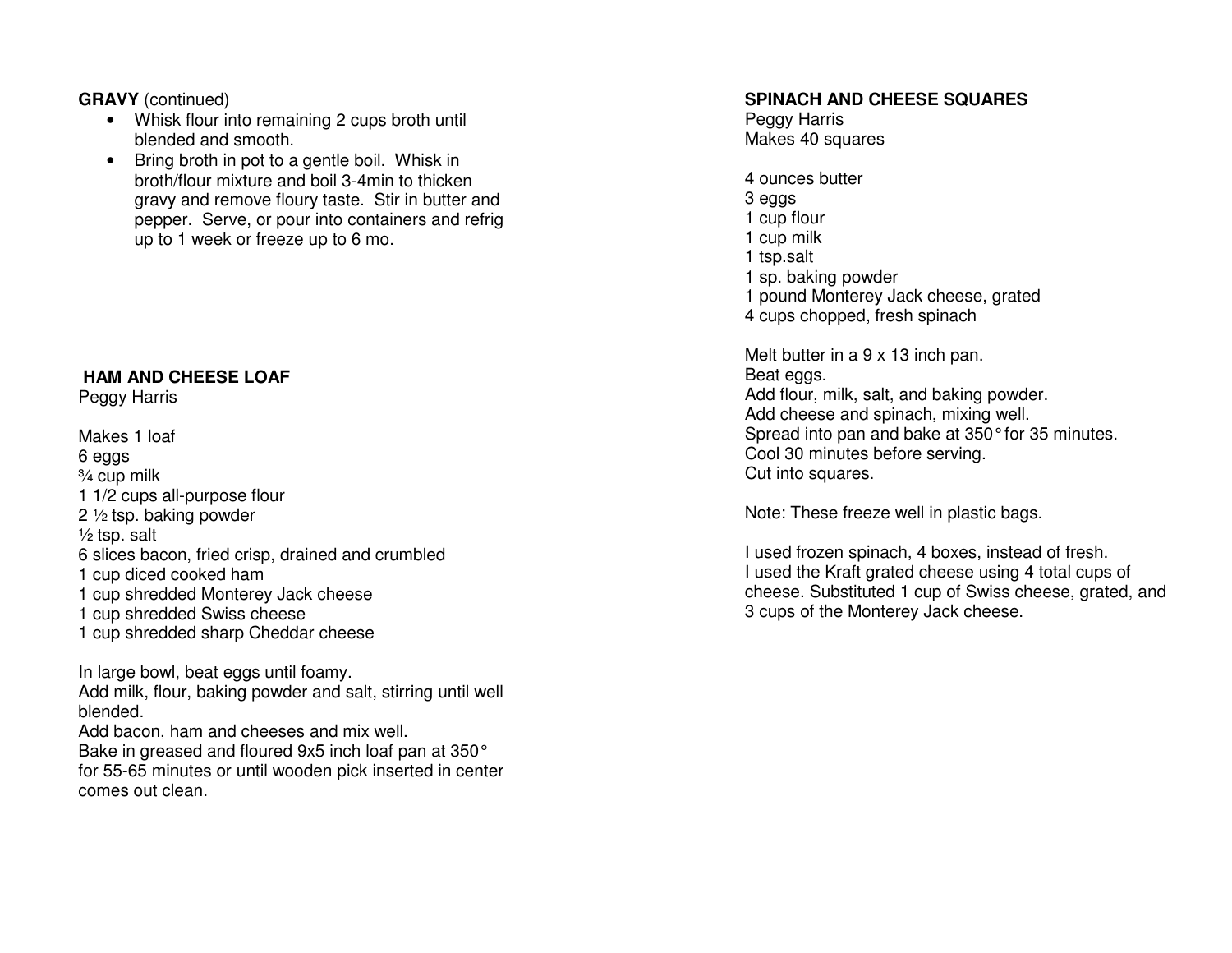**GRAVY** (continued)

- Whisk flour into remaining 2 cups broth until blended and smooth.
- Bring broth in pot to a gentle boil. Whisk in broth/flour mixture and boil 3-4min to thicken gravy and remove floury taste. Stir in butter and pepper. Serve, or pour into containers and refrig up to 1 week or freeze up to 6 mo.

#### **HAM AND CHEESE LOAF**

Peggy Harris

Makes 1 loaf 6 eggs ¾ cup milk 1 1/2 cups all-purpose flour 2 ½ tsp. baking powder  $\frac{1}{2}$  tsp. salt 6 slices bacon, fried crisp, drained and crumbled 1 cup diced cooked ham 1 cup shredded Monterey Jack cheese 1 cup shredded Swiss cheese 1 cup shredded sharp Cheddar cheese

In large bowl, beat eggs until foamy. Add milk, flour, baking powder and salt, stirring until well blended. Add bacon, ham and cheeses and mix well. Bake in greased and floured 9x5 inch loaf pan at 350° for 55-65 minutes or until wooden pick inserted in center comes out clean.

#### **SPINACH AND CHEESE SQUARES**

Peggy Harris Makes 40 squares

4 ounces butter 3 eggs 1 cup flour 1 cup milk 1 tsp.salt 1 sp. baking powder 1 pound Monterey Jack cheese, grated 4 cups chopped, fresh spinach

Melt butter in a 9 x 13 inch pan. Beat eggs. Add flour, milk, salt, and baking powder. Add cheese and spinach, mixing well. Spread into pan and bake at 350° for 35 minutes. Cool 30 minutes before serving. Cut into squares.

Note: These freeze well in plastic bags.

I used frozen spinach, 4 boxes, instead of fresh. I used the Kraft grated cheese using 4 total cups of cheese. Substituted 1 cup of Swiss cheese, grated, and 3 cups of the Monterey Jack cheese.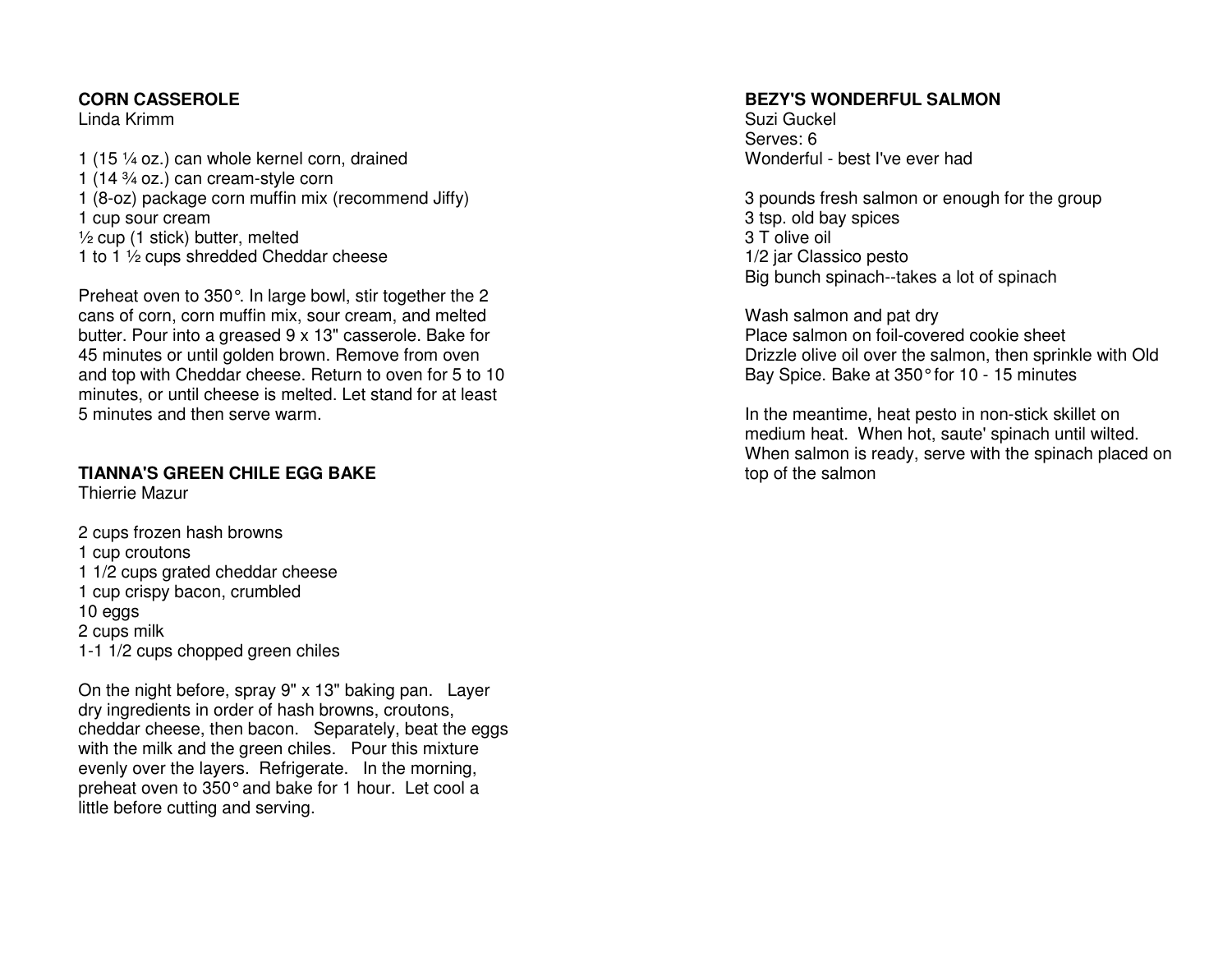#### **CORN CASSEROLE**

Linda Krimm

1 (15 ¼ oz.) can whole kernel corn, drained 1 (14 ¾ oz.) can cream-style corn 1 (8-oz) package corn muffin mix (recommend Jiffy) 1 cup sour cream ½ cup (1 stick) butter, melted 1 to 1 1/2 cups shredded Cheddar cheese

Preheat oven to 350°. In large bowl, stir together the 2 cans of corn, corn muffin mix, sour cream, and melted butter. Pour into a greased 9 x 13" casserole. Bake for 45 minutes or until golden brown. Remove from oven and top with Cheddar cheese. Return to oven for 5 to 10 minutes, or until cheese is melted. Let stand for at least 5 minutes and then serve warm.

#### **TIANNA'S GREEN CHILE EGG BAKE**

Thierrie Mazur

2 cups frozen hash browns 1 cup croutons 1 1/2 cups grated cheddar cheese 1 cup crispy bacon, crumbled 10 eggs 2 cups milk 1-1 1/2 cups chopped green chiles

On the night before, spray 9" x 13" baking pan. Layer dry ingredients in order of hash browns, croutons, cheddar cheese, then bacon. Separately, beat the eggs with the milk and the green chiles. Pour this mixture evenly over the layers. Refrigerate. In the morning, preheat oven to 350° and bake for 1 hour. Let cool a little before cutting and serving.

#### **BEZY'S WONDERFUL SALMON**

Suzi Guckel Serves: 6 Wonderful - best I've ever had

3 pounds fresh salmon or enough for the group 3 tsp. old bay spices 3 T olive oil 1/2 jar Classico pesto Big bunch spinach--takes a lot of spinach

Wash salmon and pat dry Place salmon on foil-covered cookie sheet Drizzle olive oil over the salmon, then sprinkle with Old Bay Spice. Bake at 350° for 10 - 15 minutes

In the meantime, heat pesto in non-stick skillet on medium heat. When hot, saute' spinach until wilted. When salmon is ready, serve with the spinach placed on top of the salmon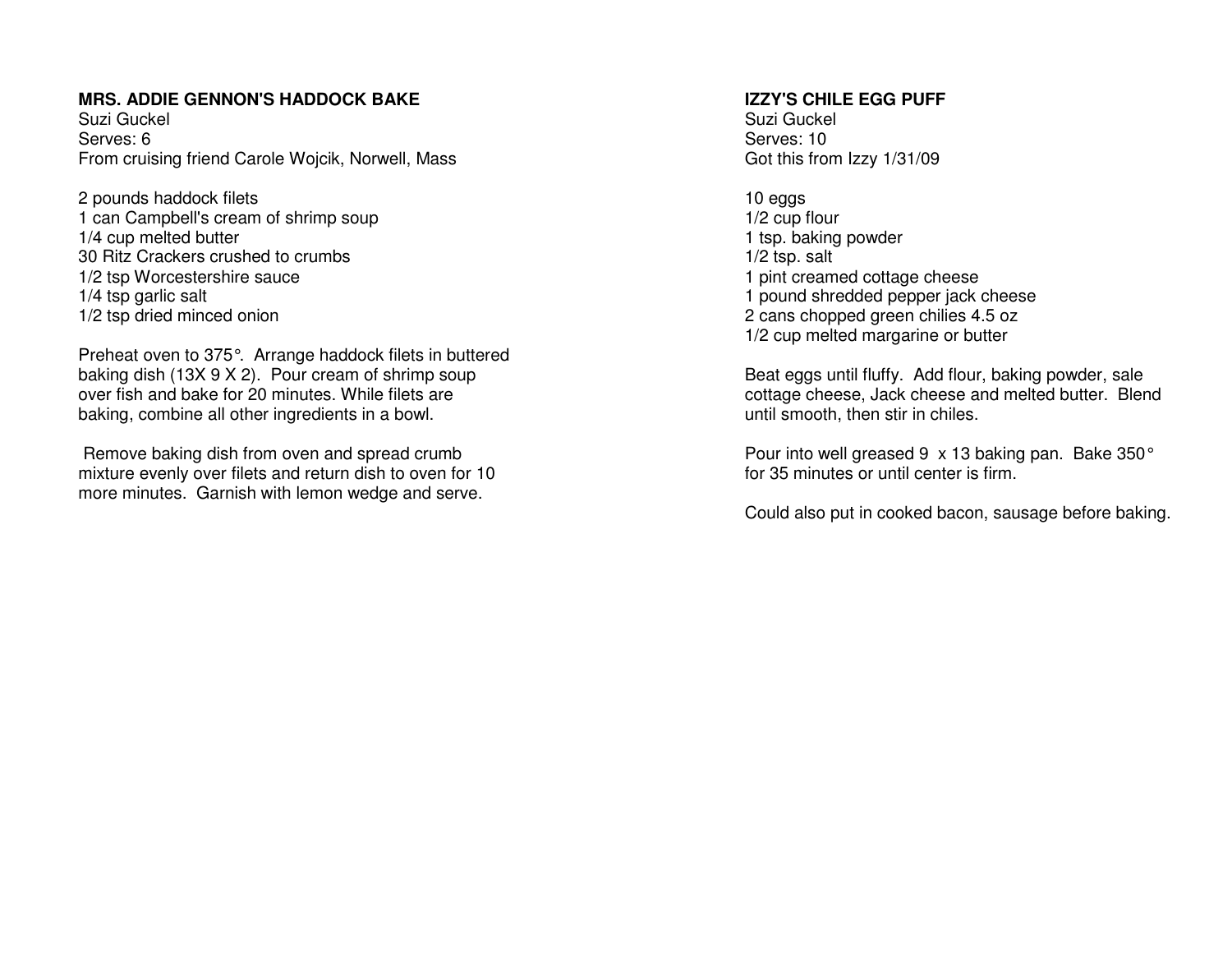#### **MRS. ADDIE GENNON'S HADDOCK BAKE**

Suzi Guckel Serves: 6 From cruising friend Carole Wojcik, Norwell, Mass

2 pounds haddock filets 1 can Campbell's cream of shrimp soup 1/4 cup melted butter 30 Ritz Crackers crushed to crumbs 1/2 tsp Worcestershire sauce 1/4 tsp garlic salt 1/2 tsp dried minced onion

Preheat oven to 375°. Arrange haddock filets in buttered baking dish (13X 9 X 2). Pour cream of shrimp soupover fish and bake for 20 minutes. While filets arebaking, combine all other ingredients in a bowl.

 Remove baking dish from oven and spread crumb mixture evenly over filets and return dish to oven for 10 more minutes. Garnish with lemon wedge and serve.

#### **IZZY'S CHILE EGG PUFF**

Suzi Guckel Serves: 10 Got this from Izzy 1/31/09

10 eggs 1/2 cup flour 1 tsp. baking powder 1/2 tsp. salt 1 pint creamed cottage cheese 1 pound shredded pepper jack cheese 2 cans chopped green chilies 4.5 oz 1/2 cup melted margarine or butter

Beat eggs until fluffy. Add flour, baking powder, sale cottage cheese, Jack cheese and melted butter. Blend until smooth, then stir in chiles.

Pour into well greased 9 x 13 baking pan. Bake 350° for 35 minutes or until center is firm.

Could also put in cooked bacon, sausage before baking.